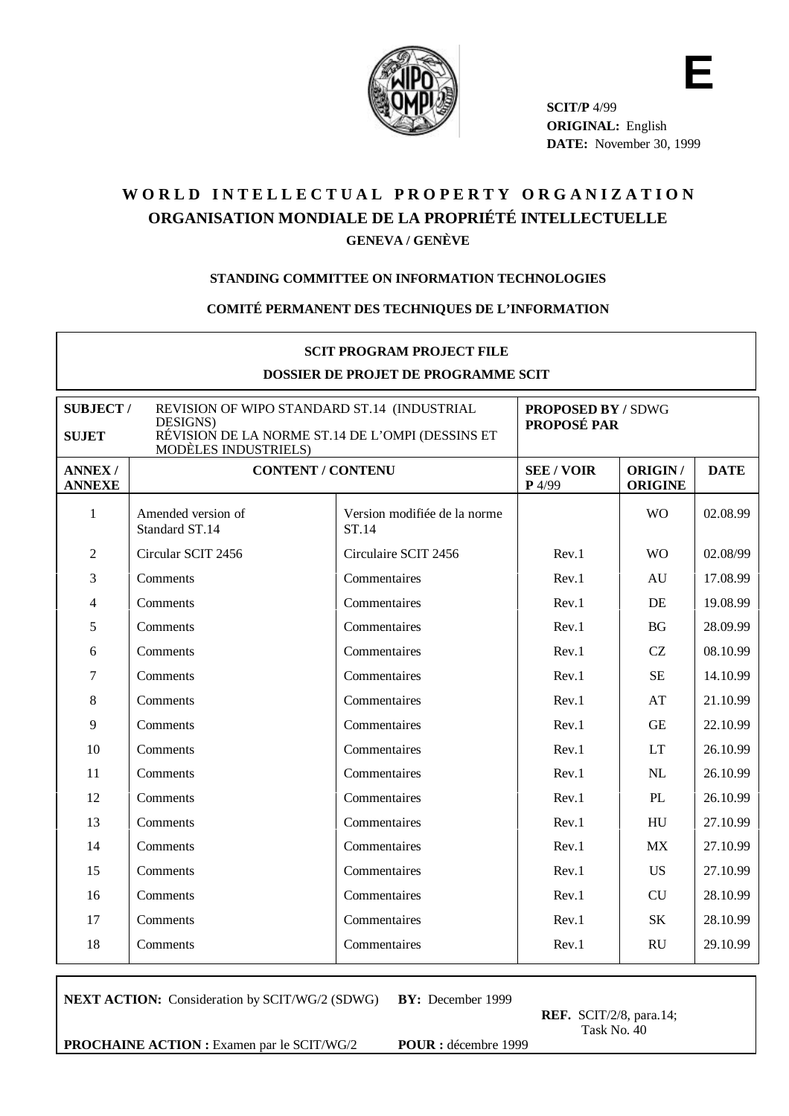

**E SCIT/P** 4/99 **ORIGINAL:** English **DATE:** November 30, 1999

# WORLD INTELLECTUAL PROPERTY ORGANIZATION **ORGANISATION MONDIALE DE LA PROPRIÉTÉ INTELLECTUELLE GENEVA / GENÈVE**

## **STANDING COMMITTEE ON INFORMATION TECHNOLOGIES**

## **COMITÉ PERMANENT DES TECHNIQUES DE L'INFORMATION**

| <b>SCIT PROGRAM PROJECT FILE</b><br>DOSSIER DE PROJET DE PROGRAMME SCIT                                                                                                       |                                      |                                       |                                                 |                           |             |
|-------------------------------------------------------------------------------------------------------------------------------------------------------------------------------|--------------------------------------|---------------------------------------|-------------------------------------------------|---------------------------|-------------|
| REVISION OF WIPO STANDARD ST.14 (INDUSTRIAL<br><b>SUBJECT/</b><br>DESIGNS)<br>RÉVISION DE LA NORME ST.14 DE L'OMPI (DESSINS ET<br><b>SUJET</b><br><b>MODÈLES INDUSTRIELS)</b> |                                      |                                       | <b>PROPOSED BY / SDWG</b><br><b>PROPOSÉ PAR</b> |                           |             |
| <b>ANNEX/</b><br><b>ANNEXE</b>                                                                                                                                                | <b>CONTENT / CONTENU</b>             |                                       | <b>SEE / VOIR</b><br>$P$ 4/99                   | ORIGIN/<br><b>ORIGINE</b> | <b>DATE</b> |
| 1                                                                                                                                                                             | Amended version of<br>Standard ST.14 | Version modifiée de la norme<br>ST.14 |                                                 | <b>WO</b>                 | 02.08.99    |
| $\overline{2}$                                                                                                                                                                | Circular SCIT 2456                   | Circulaire SCIT 2456                  | Rev.1                                           | <b>WO</b>                 | 02.08/99    |
| 3                                                                                                                                                                             | Comments                             | Commentaires                          | Rev.1                                           | AU                        | 17.08.99    |
| 4                                                                                                                                                                             | Comments                             | Commentaires                          | Rev.1                                           | DE                        | 19.08.99    |
| 5                                                                                                                                                                             | Comments                             | Commentaires                          | Rev.1                                           | <b>BG</b>                 | 28.09.99    |
| 6                                                                                                                                                                             | Comments                             | Commentaires                          | Rev.1                                           | CZ                        | 08.10.99    |
| 7                                                                                                                                                                             | Comments                             | Commentaires                          | Rev.1                                           | <b>SE</b>                 | 14.10.99    |
| 8                                                                                                                                                                             | Comments                             | Commentaires                          | Rev.1                                           | AT                        | 21.10.99    |
| 9                                                                                                                                                                             | Comments                             | Commentaires                          | Rev.1                                           | <b>GE</b>                 | 22.10.99    |
| 10                                                                                                                                                                            | Comments                             | Commentaires                          | Rev.1                                           | <b>LT</b>                 | 26.10.99    |
| 11                                                                                                                                                                            | Comments                             | Commentaires                          | Rev.1                                           | <b>NL</b>                 | 26.10.99    |
| 12                                                                                                                                                                            | Comments                             | Commentaires                          | Rev.1                                           | PL                        | 26.10.99    |
| 13                                                                                                                                                                            | Comments                             | Commentaires                          | Rev.1                                           | HU                        | 27.10.99    |
| 14                                                                                                                                                                            | Comments                             | Commentaires                          | Rev.1                                           | MX                        | 27.10.99    |
| 15                                                                                                                                                                            | Comments                             | Commentaires                          | Rev.1                                           | <b>US</b>                 | 27.10.99    |
| 16                                                                                                                                                                            | Comments                             | Commentaires                          | Rev.1                                           | <b>CU</b>                 | 28.10.99    |
| 17                                                                                                                                                                            | Comments                             | Commentaires                          | Rev.1                                           | <b>SK</b>                 | 28.10.99    |
| 18                                                                                                                                                                            | Comments                             | Commentaires                          | Rev.1                                           | <b>RU</b>                 | 29.10.99    |

**NEXT ACTION:** Consideration by SCIT/WG/2 (SDWG) **BY:** December 1999

**REF.** SCIT/2/8, para.14; Task No. 40

**PROCHAINE ACTION :** Examen par le SCIT/WG/2 **POUR :** décembre 1999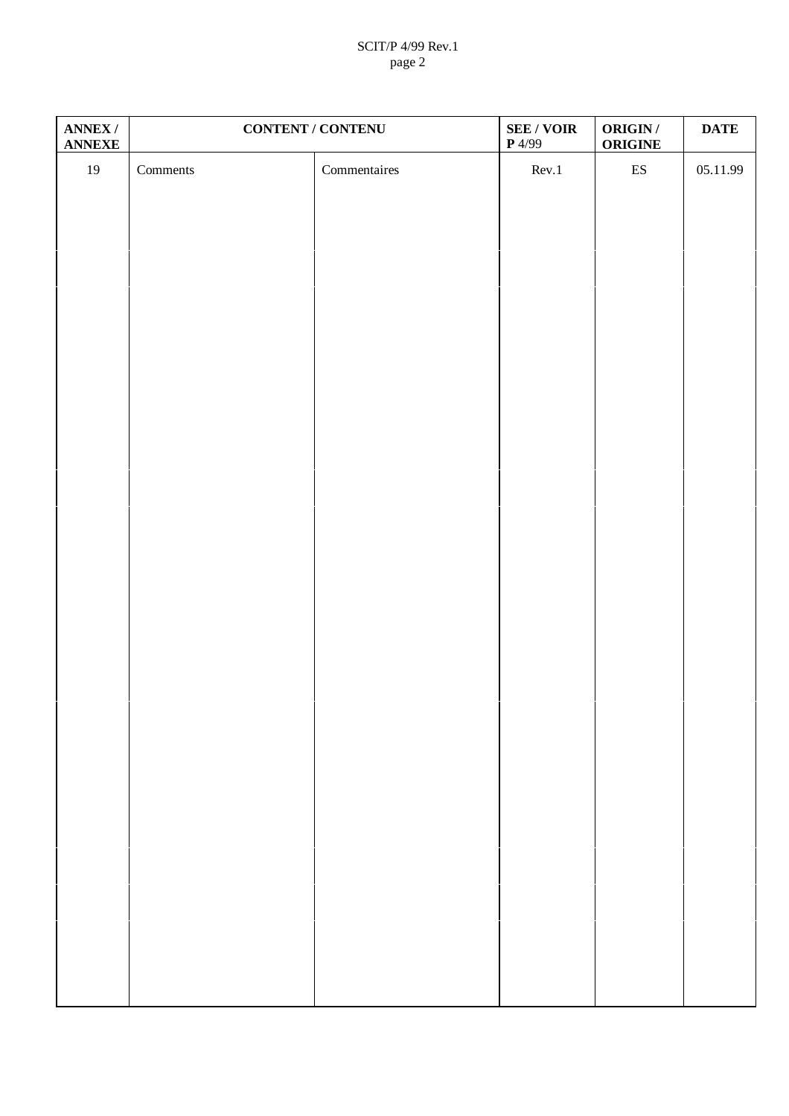# SCIT/P 4/99 Rev.1 page 2

| ANNEX /<br><b>ANNEXE</b> | <b>CONTENT / CONTENU</b>       |              | <b>SEE / VOIR</b><br>$\mathbf{P}$ 4/99 | <b>ORIGIN/</b><br><b>ORIGINE</b> | <b>DATE</b> |
|--------------------------|--------------------------------|--------------|----------------------------------------|----------------------------------|-------------|
| $19\,$                   | $\label{comm} \text{Comments}$ | Commentaires | Rev.1                                  | $\mathop{\hbox{\rm ES}}$         | 05.11.99    |
|                          |                                |              |                                        |                                  |             |
|                          |                                |              |                                        |                                  |             |
|                          |                                |              |                                        |                                  |             |
|                          |                                |              |                                        |                                  |             |
|                          |                                |              |                                        |                                  |             |
|                          |                                |              |                                        |                                  |             |
|                          |                                |              |                                        |                                  |             |
|                          |                                |              |                                        |                                  |             |
|                          |                                |              |                                        |                                  |             |
|                          |                                |              |                                        |                                  |             |
|                          |                                |              |                                        |                                  |             |
|                          |                                |              |                                        |                                  |             |
|                          |                                |              |                                        |                                  |             |
|                          |                                |              |                                        |                                  |             |
|                          |                                |              |                                        |                                  |             |
|                          |                                |              |                                        |                                  |             |
|                          |                                |              |                                        |                                  |             |
|                          |                                |              |                                        |                                  |             |
|                          |                                |              |                                        |                                  |             |
|                          |                                |              |                                        |                                  |             |
|                          |                                |              |                                        |                                  |             |
|                          |                                |              |                                        |                                  |             |
|                          |                                |              |                                        |                                  |             |
|                          |                                |              |                                        |                                  |             |
|                          |                                |              |                                        |                                  |             |
|                          |                                |              |                                        |                                  |             |
|                          |                                |              |                                        |                                  |             |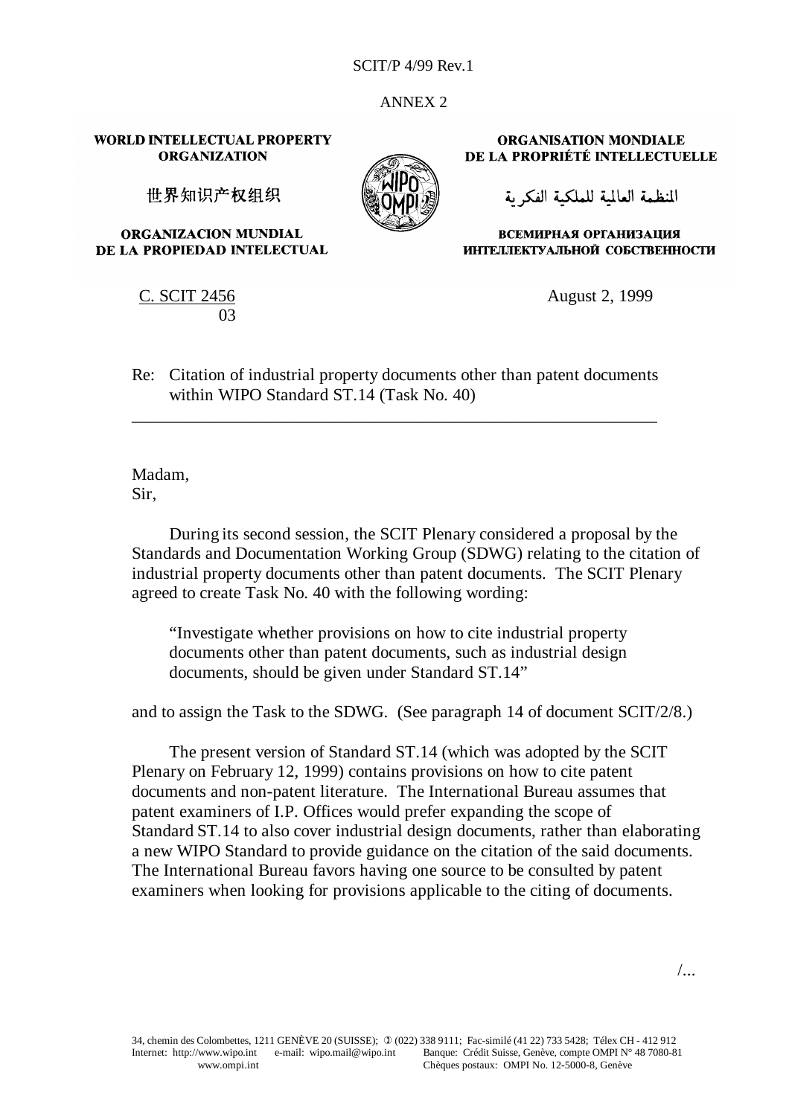ANNEX 2

**WORLD INTELLECTUAL PROPERTY ORGANIZATION** 

世界知识产权组织

**ORGANIZACION MUNDIAL** DE LA PROPIEDAD INTELECTUAL

> C. SCIT 2456 03

**ORGANISATION MONDIALE** DE LA PROPRIÉTÉ INTELLECTUELLE

المنظمة العالمية للملكية الفكرية

ВСЕМИРНАЯ ОРГАНИЗАЦИЯ ИНТЕЛЛЕКТУАЛЬНОЙ СОБСТВЕННОСТИ

August 2, 1999

Re: Citation of industrial property documents other than patent documents within WIPO Standard ST.14 (Task No. 40)

\_\_\_\_\_\_\_\_\_\_\_\_\_\_\_\_\_\_\_\_\_\_\_\_\_\_\_\_\_\_\_\_\_\_\_\_\_\_\_\_\_\_\_\_\_\_\_\_\_\_\_\_\_\_\_\_\_\_\_\_\_

Madam, Sir,

During its second session, the SCIT Plenary considered a proposal by the Standards and Documentation Working Group (SDWG) relating to the citation of industrial property documents other than patent documents. The SCIT Plenary agreed to create Task No. 40 with the following wording:

"Investigate whether provisions on how to cite industrial property documents other than patent documents, such as industrial design documents, should be given under Standard ST.14"

and to assign the Task to the SDWG. (See paragraph 14 of document SCIT/2/8.)

The present version of Standard ST.14 (which was adopted by the SCIT Plenary on February 12, 1999) contains provisions on how to cite patent documents and non-patent literature. The International Bureau assumes that patent examiners of I.P. Offices would prefer expanding the scope of Standard ST.14 to also cover industrial design documents, rather than elaborating a new WIPO Standard to provide guidance on the citation of the said documents. The International Bureau favors having one source to be consulted by patent examiners when looking for provisions applicable to the citing of documents.

/...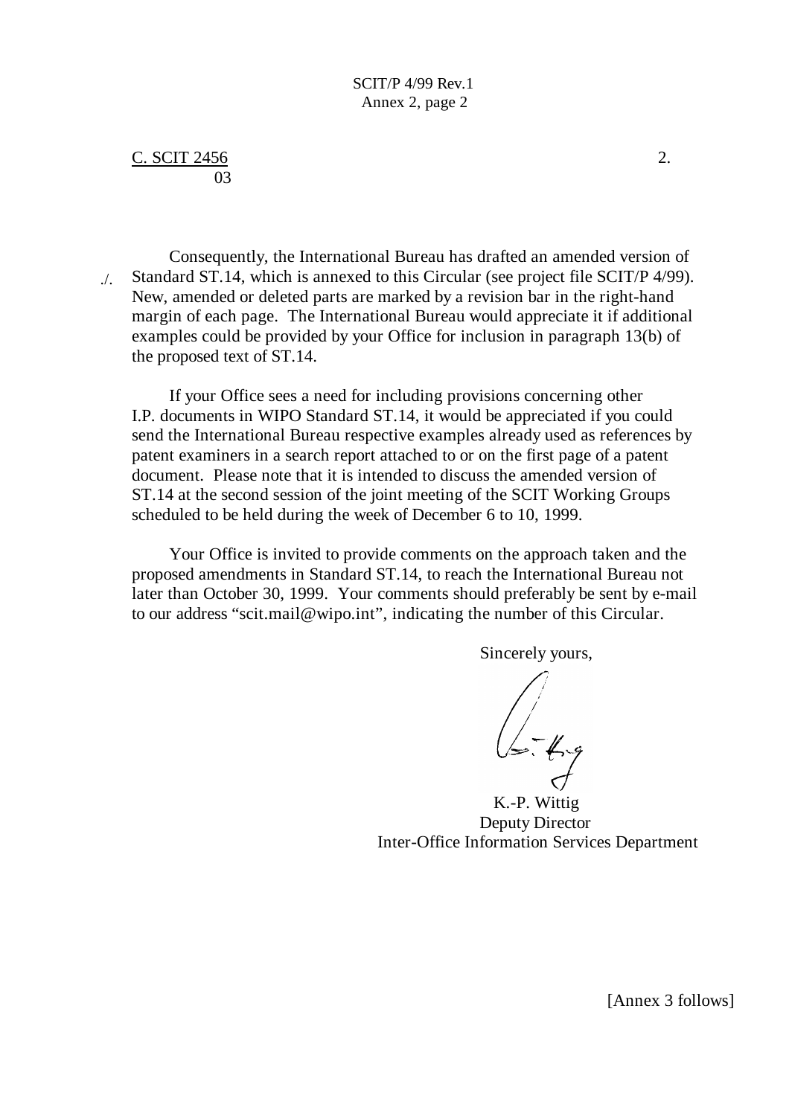# $C.$  SCIT 2456 2. 03

Consequently, the International Bureau has drafted an amended version of Standard ST.14, which is annexed to this Circular (see project file SCIT/P 4/99). New, amended or deleted parts are marked by a revision bar in the right-hand margin of each page. The International Bureau would appreciate it if additional examples could be provided by your Office for inclusion in paragraph 13(b) of the proposed text of ST.14. ./.

If your Office sees a need for including provisions concerning other I.P. documents in WIPO Standard ST.14, it would be appreciated if you could send the International Bureau respective examples already used as references by patent examiners in a search report attached to or on the first page of a patent document. Please note that it is intended to discuss the amended version of ST.14 at the second session of the joint meeting of the SCIT Working Groups scheduled to be held during the week of December 6 to 10, 1999.

Your Office is invited to provide comments on the approach taken and the proposed amendments in Standard ST.14, to reach the International Bureau not later than October 30, 1999. Your comments should preferably be sent by e-mail to our address "scit.mail@wipo.int", indicating the number of this Circular.

Sincerely yours,

 $\sqrt{\sqrt{2\cdot4}}$ 

K.-P. Wittig Deputy Director Inter-Office Information Services Department

[Annex 3 follows]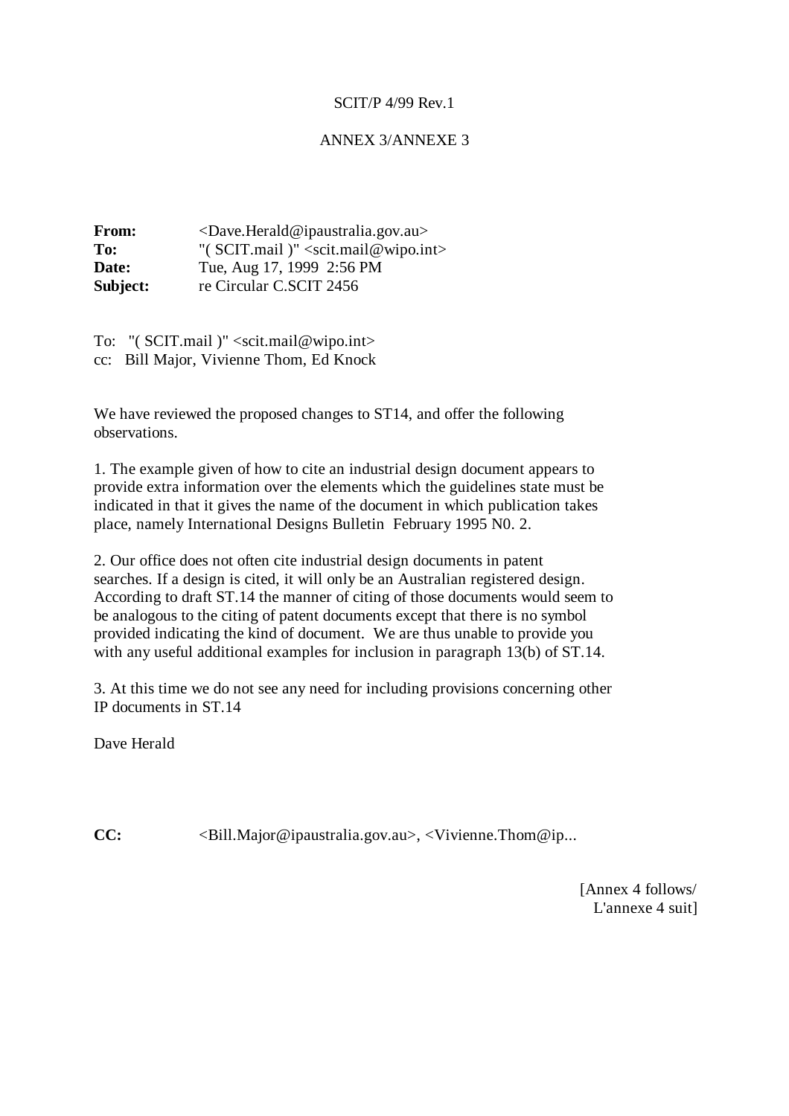# ANNEX 3/ANNEXE 3

| From:    | $\langle$ Dave.Herald@ipaustralia.gov.au>                   |  |  |
|----------|-------------------------------------------------------------|--|--|
| To:      | "( $SCIT$ .mail)" <scit.mail@wipo.int></scit.mail@wipo.int> |  |  |
| Date:    | Tue, Aug 17, 1999 2:56 PM                                   |  |  |
| Subject: | re Circular C.SCIT 2456                                     |  |  |

To: "( SCIT.mail )" <scit.mail@wipo.int> cc: Bill Major, Vivienne Thom, Ed Knock

We have reviewed the proposed changes to ST14, and offer the following observations.

1. The example given of how to cite an industrial design document appears to provide extra information over the elements which the guidelines state must be indicated in that it gives the name of the document in which publication takes place, namely International Designs Bulletin February 1995 N0. 2.

2. Our office does not often cite industrial design documents in patent searches. If a design is cited, it will only be an Australian registered design. According to draft ST.14 the manner of citing of those documents would seem to be analogous to the citing of patent documents except that there is no symbol provided indicating the kind of document. We are thus unable to provide you with any useful additional examples for inclusion in paragraph 13(b) of ST.14.

3. At this time we do not see any need for including provisions concerning other IP documents in ST.14

Dave Herald

**CC:**  $\langle \text{Bill.Major@ipaustralia.gov.au\rangle, \langle \text{Vivienne.Thom@ip...}$ 

[Annex 4 follows/ L'annexe 4 suit]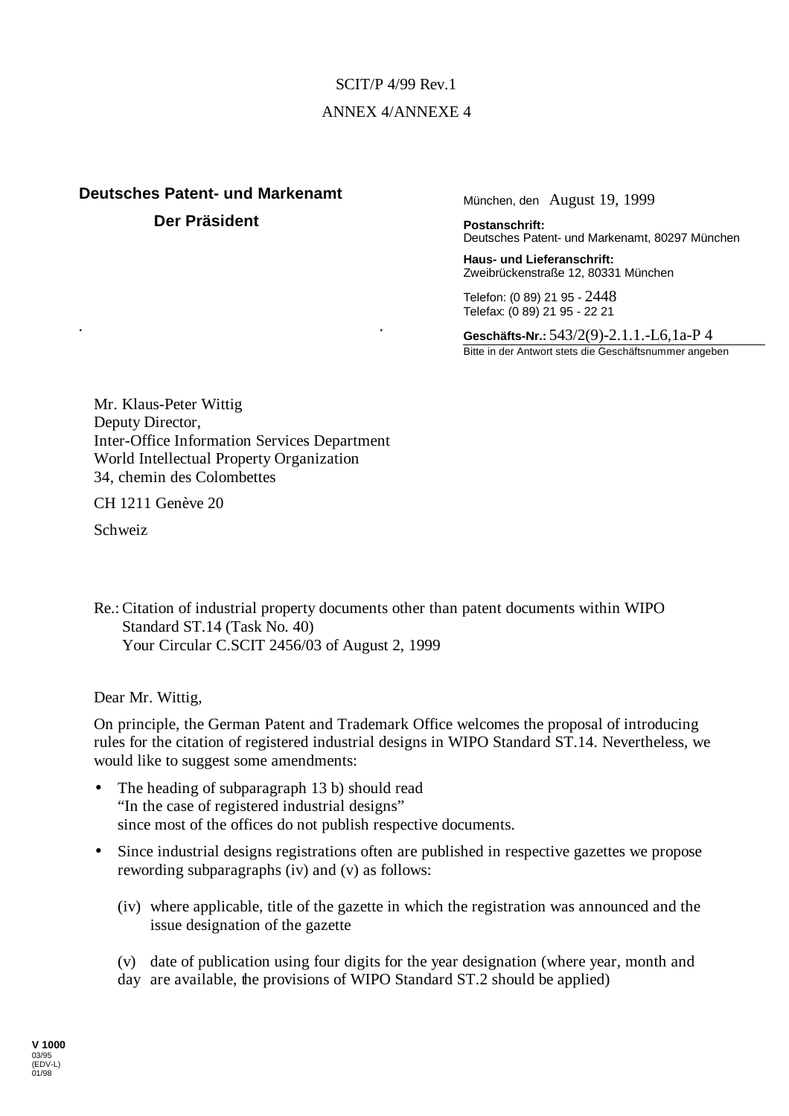# SCIT/P 4/99 Rev.1 ANNEX 4/ANNEXE 4

# **Deutsches Patent- und Markenamt Der Präsident**

München, den August 19, 1999

**Postanschrift:** Deutsches Patent- und Markenamt, 80297 München

**Haus- und Lieferanschrift:** Zweibrückenstraße 12, 80331 München

Telefon: (0 89) 21 95 - 2448 Telefax: (0 89) 21 95 - 22 21

**Geschäfts-Nr.:** 543/2(9)-2.1.1.-L6,1a-P 4 Bitte in der Antwort stets die Geschäftsnummer angeben

Mr. Klaus-Peter Wittig Deputy Director, Inter-Office Information Services Department World Intellectual Property Organization 34, chemin des Colombettes

**. .**

CH 1211 Genève 20

Schweiz

Re.:Citation of industrial property documents other than patent documents within WIPO Standard ST.14 (Task No. 40) Your Circular C.SCIT 2456/03 of August 2, 1999

Dear Mr. Wittig,

On principle, the German Patent and Trademark Office welcomes the proposal of introducing rules for the citation of registered industrial designs in WIPO Standard ST.14. Nevertheless, we would like to suggest some amendments:

- The heading of subparagraph 13 b) should read "In the case of registered industrial designs" since most of the offices do not publish respective documents.
- Since industrial designs registrations often are published in respective gazettes we propose rewording subparagraphs (iv) and (v) as follows:
	- (iv) where applicable, title of the gazette in which the registration was announced and the issue designation of the gazette
	- (v) date of publication using four digits for the year designation (where year, month and
	- day are available, the provisions of WIPO Standard ST.2 should be applied)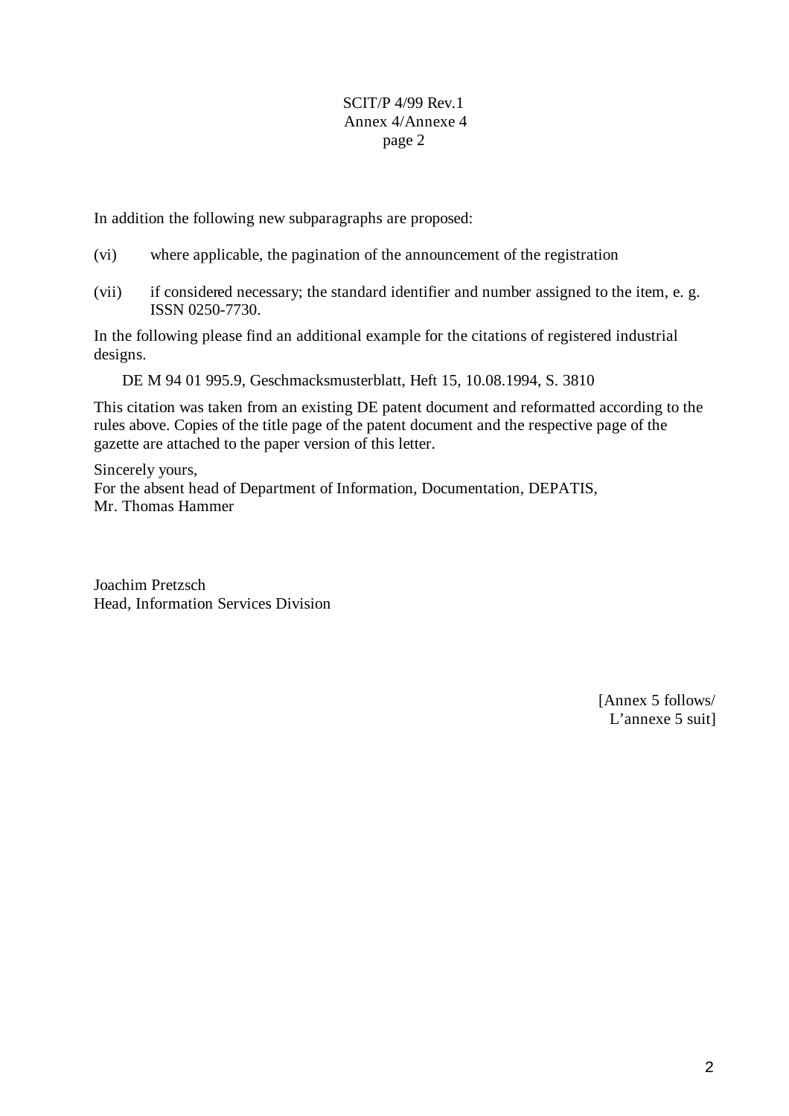In addition the following new subparagraphs are proposed:

- (vi) where applicable, the pagination of the announcement of the registration
- (vii) if considered necessary; the standard identifier and number assigned to the item, e. g. ISSN 0250-7730.

In the following please find an additional example for the citations of registered industrial designs.

DE M 94 01 995.9, Geschmacksmusterblatt, Heft 15, 10.08.1994, S. 3810

This citation was taken from an existing DE patent document and reformatted according to the rules above. Copies of the title page of the patent document and the respective page of the gazette are attached to the paper version of this letter.

Sincerely yours, For the absent head of Department of Information, Documentation, DEPATIS, Mr. Thomas Hammer

Joachim Pretzsch Head, Information Services Division

> [Annex 5 follows/ L'annexe 5 suit]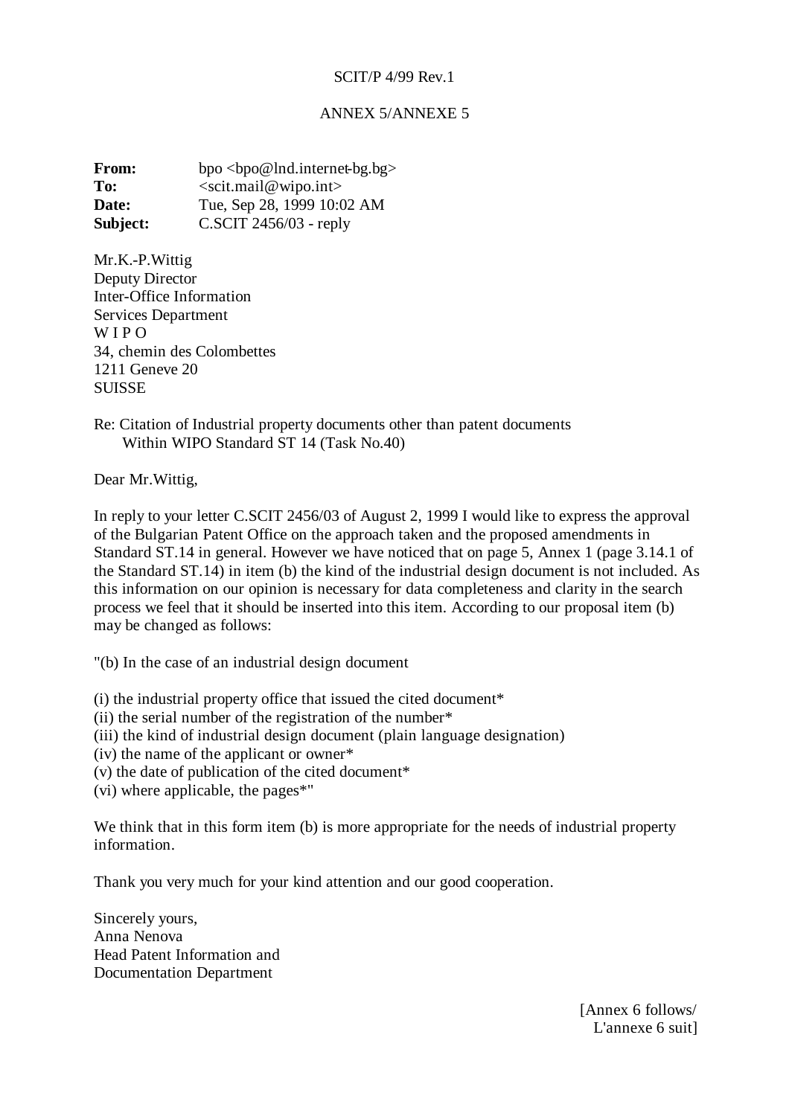# ANNEX 5/ANNEXE 5

**From:** bpo <br/>>bpo@lnd.internet-bg.bg> To: <scit.mail@wipo.int> **Date:** Tue, Sep 28, 1999 10:02 AM **Subject: C.SCIT 2456/03 - reply** 

Mr.K.-P.Wittig Deputy Director Inter-Office Information Services Department W I P O 34, chemin des Colombettes 1211 Geneve 20 **SUISSE** 

Re: Citation of Industrial property documents other than patent documents Within WIPO Standard ST 14 (Task No.40)

Dear Mr.Wittig,

In reply to your letter C.SCIT 2456/03 of August 2, 1999 I would like to express the approval of the Bulgarian Patent Office on the approach taken and the proposed amendments in Standard ST.14 in general. However we have noticed that on page 5, Annex 1 (page 3.14.1 of the Standard ST.14) in item (b) the kind of the industrial design document is not included. As this information on our opinion is necessary for data completeness and clarity in the search process we feel that it should be inserted into this item. According to our proposal item (b) may be changed as follows:

"(b) In the case of an industrial design document

(i) the industrial property office that issued the cited document\*

(ii) the serial number of the registration of the number\*

(iii) the kind of industrial design document (plain language designation)

(iv) the name of the applicant or owner\*

(v) the date of publication of the cited document\*

(vi) where applicable, the pages\*"

We think that in this form item (b) is more appropriate for the needs of industrial property information.

Thank you very much for your kind attention and our good cooperation.

Sincerely yours, Anna Nenova Head Patent Information and Documentation Department

> [Annex 6 follows/ L'annexe 6 suit]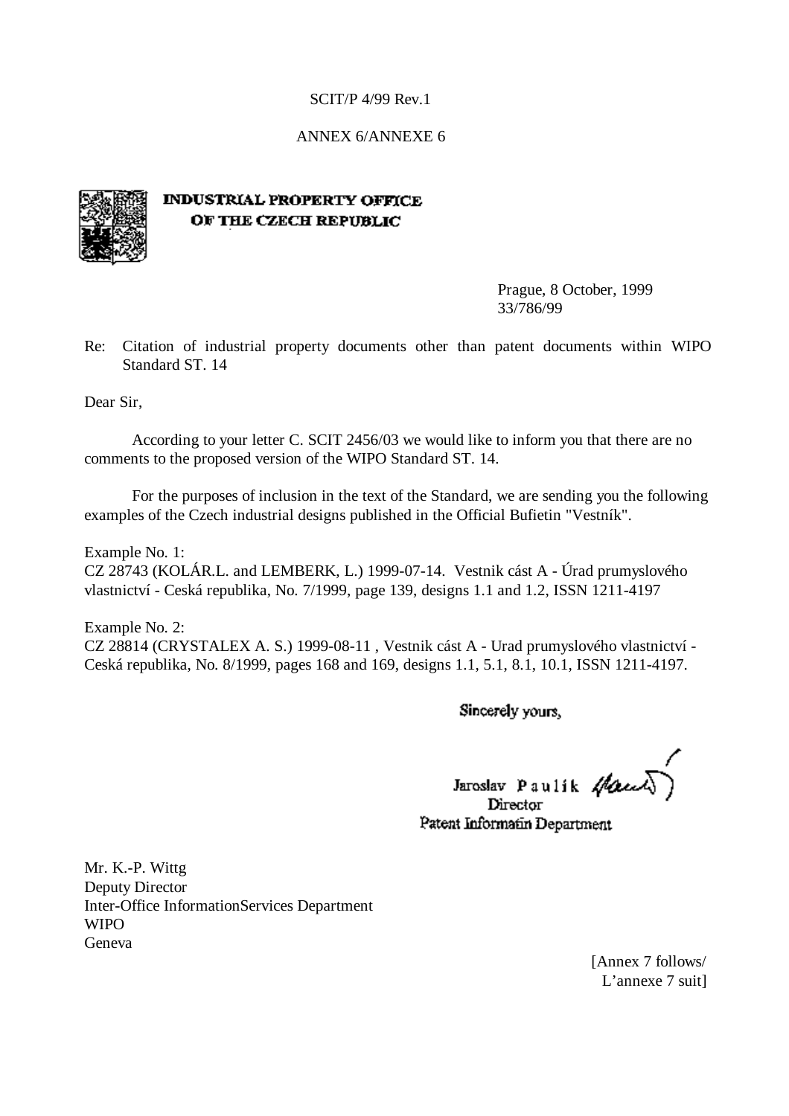# ANNEX 6/ANNEXE 6



# **INDUSTRIAL PROPERTY OFFICE** OF THE CZECH REPUBLIC

Prague, 8 October, 1999 33/786/99

Re: Citation of industrial property documents other than patent documents within WIPO Standard ST. 14

Dear Sir,

According to your letter C. SCIT 2456/03 we would like to inform you that there are no comments to the proposed version of the WIPO Standard ST. 14.

For the purposes of inclusion in the text of the Standard, we are sending you the following examples of the Czech industrial designs published in the Official Bufietin "Vestník".

Example No. 1: CZ 28743 (KOLÁR.L. and LEMBERK, L.) 1999-07-14. Vestnik cást A - Úrad prumyslového vlastnictví - Ceská republika, No. 7/1999, page 139, designs 1.1 and 1.2, ISSN 1211-4197

Example No. 2: CZ 28814 (CRYSTALEX A. S.) 1999-08-11 , Vestnik cást A - Urad prumyslového vlastnictví - Ceská republika, No. 8/1999, pages 168 and 169, designs 1.1, 5.1, 8.1, 10.1, ISSN 1211-4197.

Sincerely yours,

Jaroslav Paulik Haul Director

Patent Informatin Department

Mr. K.-P. Wittg Deputy Director Inter-Office InformationServices Department **WIPO** Geneva

> [Annex 7 follows/ L'annexe 7 suit]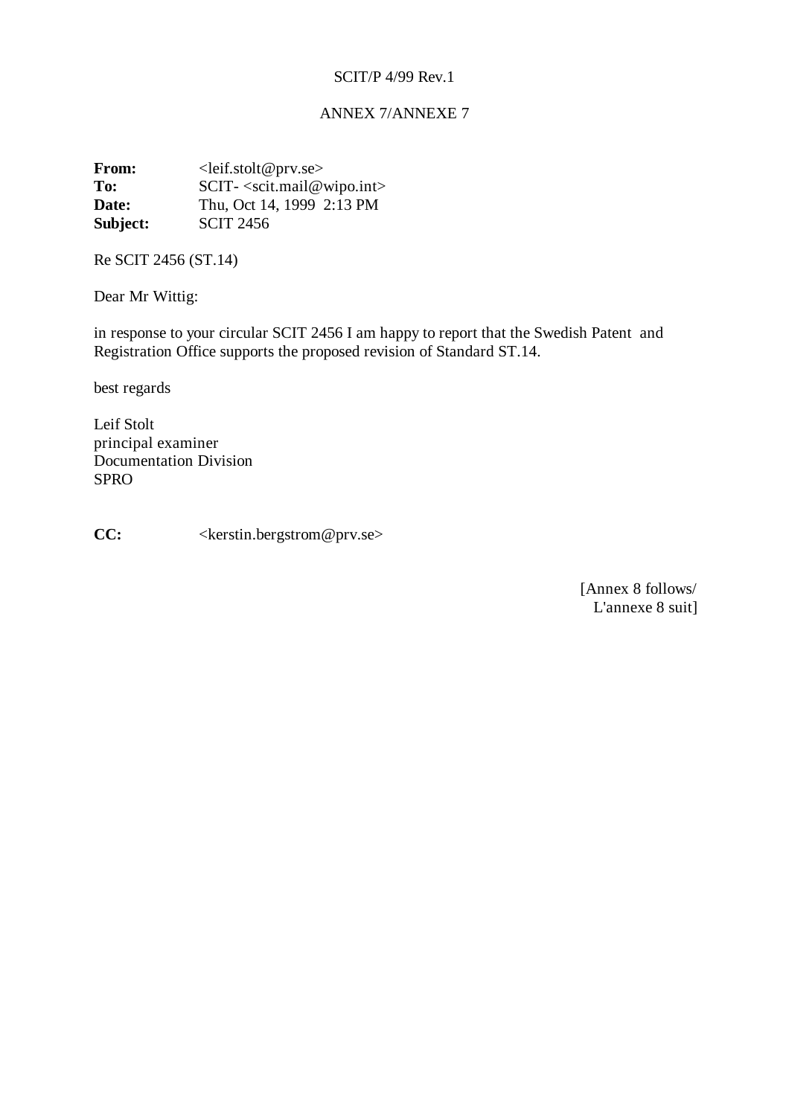# ANNEX 7/ANNEXE 7

**From:** < leif.stolt@prv.se><br>To: <br>SCIT-<scit mail@y **SCIT**- <scit.mail@wipo.int> **Date:** Thu, Oct 14, 1999 2:13 PM **Subject: SCIT 2456** 

Re SCIT 2456 (ST.14)

Dear Mr Wittig:

in response to your circular SCIT 2456 I am happy to report that the Swedish Patent and Registration Office supports the proposed revision of Standard ST.14.

best regards

Leif Stolt principal examiner Documentation Division SPRO

**CC:** <kerstin.bergstrom@prv.se>

 [Annex 8 follows/ L'annexe 8 suit]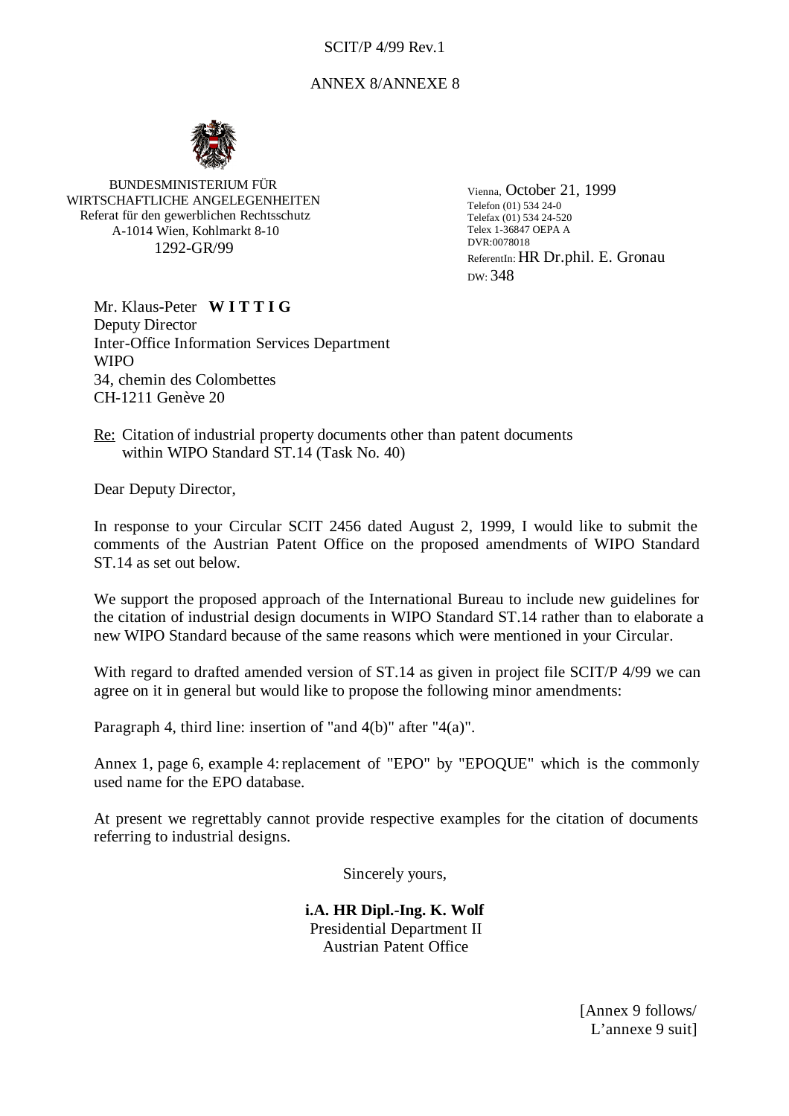# ANNEX 8/ANNEXE 8



BUNDESMINISTERIUM FÜR WIRTSCHAFTLICHE ANGELEGENHEITEN Referat für den gewerblichen Rechtsschutz A-1014 Wien, Kohlmarkt 8-10 1292-GR/99

Vienna, October 21, 1999 Telefon (01) 534 24-0 Telefax (01) 534 24-520 Telex 1-36847 OEPA A DVR:0078018 ReferentIn: HR Dr.phil. E. Gronau DW: 348

Mr. Klaus-Peter **W I T T I G** Deputy Director Inter-Office Information Services Department **WIPO** 34, chemin des Colombettes CH-1211 Genève 20

Re: Citation of industrial property documents other than patent documents within WIPO Standard ST.14 (Task No. 40)

Dear Deputy Director,

In response to your Circular SCIT 2456 dated August 2, 1999, I would like to submit the comments of the Austrian Patent Office on the proposed amendments of WIPO Standard ST.14 as set out below.

We support the proposed approach of the International Bureau to include new guidelines for the citation of industrial design documents in WIPO Standard ST.14 rather than to elaborate a new WIPO Standard because of the same reasons which were mentioned in your Circular.

With regard to drafted amended version of ST.14 as given in project file SCIT/P 4/99 we can agree on it in general but would like to propose the following minor amendments:

Paragraph 4, third line: insertion of "and 4(b)" after "4(a)".

Annex 1, page 6, example 4: replacement of "EPO" by "EPOQUE" which is the commonly used name for the EPO database.

At present we regrettably cannot provide respective examples for the citation of documents referring to industrial designs.

Sincerely yours,

**i.A. HR Dipl.-Ing. K. Wolf** Presidential Department II Austrian Patent Office

> [Annex 9 follows/ L'annexe 9 suit]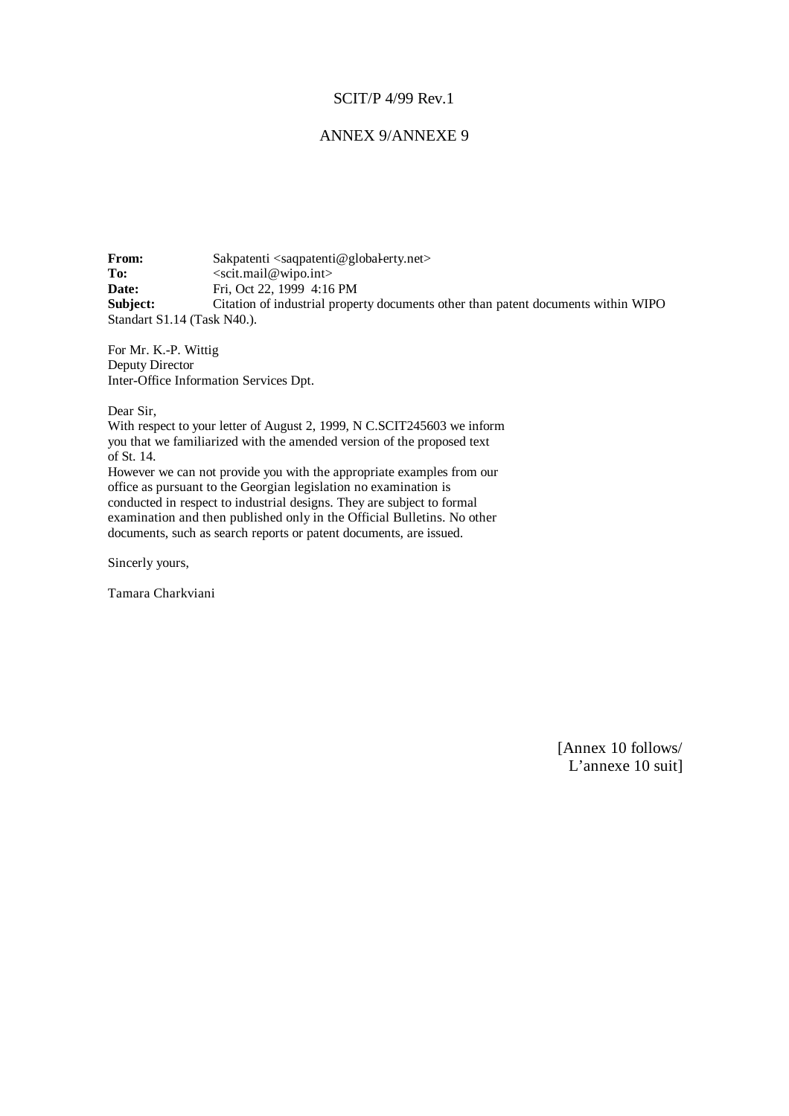## ANNEX 9/ANNEXE 9

**From:** Sakpatenti <saqpatenti@global-erty.net><br>To: <scit mail@wino.int> **To:** <scit.mail@wipo.int> **Date:** Fri, Oct 22, 1999 4:16 PM **Subject:** Citation of industrial property documents other than patent documents within WIPO Standart S1.14 (Task N40.).

For Mr. K.-P. Wittig Deputy Director Inter-Office Information Services Dpt.

Dear Sir,

With respect to your letter of August 2, 1999, N C.SCIT245603 we inform you that we familiarized with the amended version of the proposed text of St. 14. However we can not provide you with the appropriate examples from our

office as pursuant to the Georgian legislation no examination is conducted in respect to industrial designs. They are subject to formal examination and then published only in the Official Bulletins. No other documents, such as search reports or patent documents, are issued.

Sincerly yours,

Tamara Charkviani

[Annex 10 follows/ L'annexe 10 suit]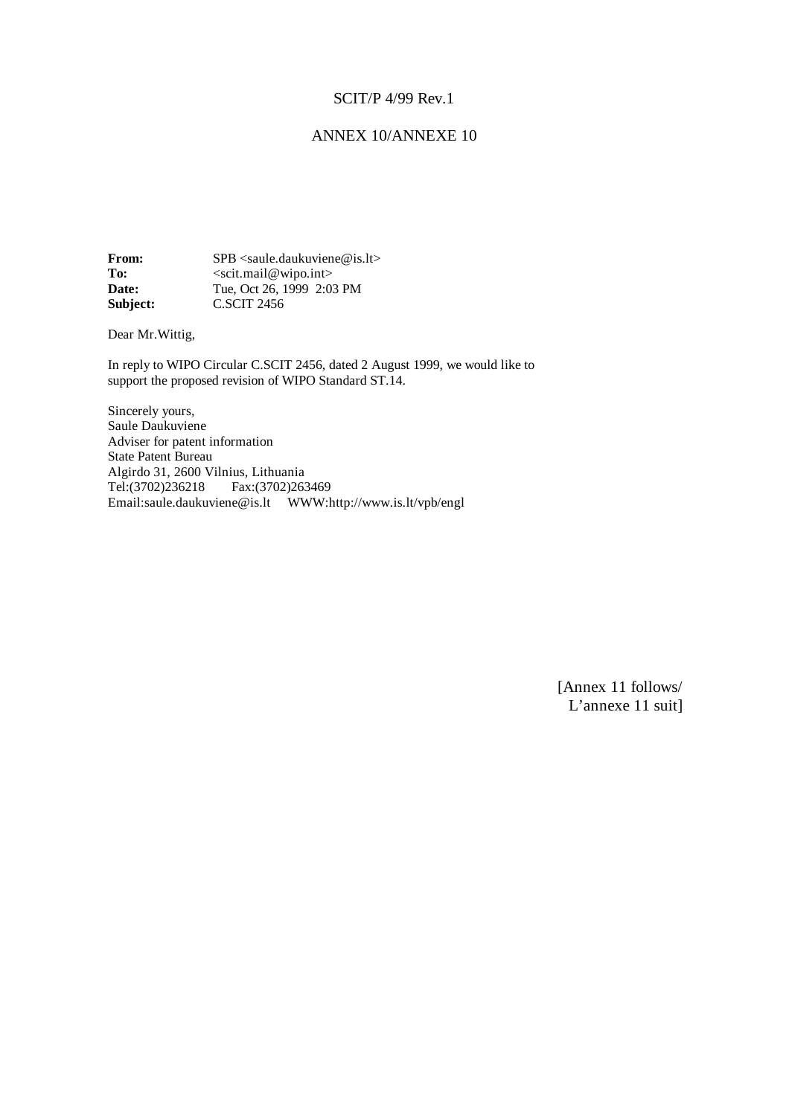# ANNEX 10/ANNEXE 10

**From:** SPB <saule.daukuviene@is.lt><br>To: <scit.mail@wipo.int> To: <br>
Socit.mail@wipo.int><br> **Date:** Tue, Oct 26, 1999 2:03 **Date:** Tue, Oct 26, 1999 2:03 PM **Subject:** C.SCIT 2456

Dear Mr.Wittig,

In reply to WIPO Circular C.SCIT 2456, dated 2 August 1999, we would like to support the proposed revision of WIPO Standard ST.14.

Sincerely yours, Saule Daukuviene Adviser for patent information State Patent Bureau Algirdo 31, 2600 Vilnius, Lithuania Tel:(3702)236218 Fax:(3702)263469 Email:saule.daukuviene@is.lt WWW:http://www.is.lt/vpb/engl

> [Annex 11 follows/ L'annexe 11 suit]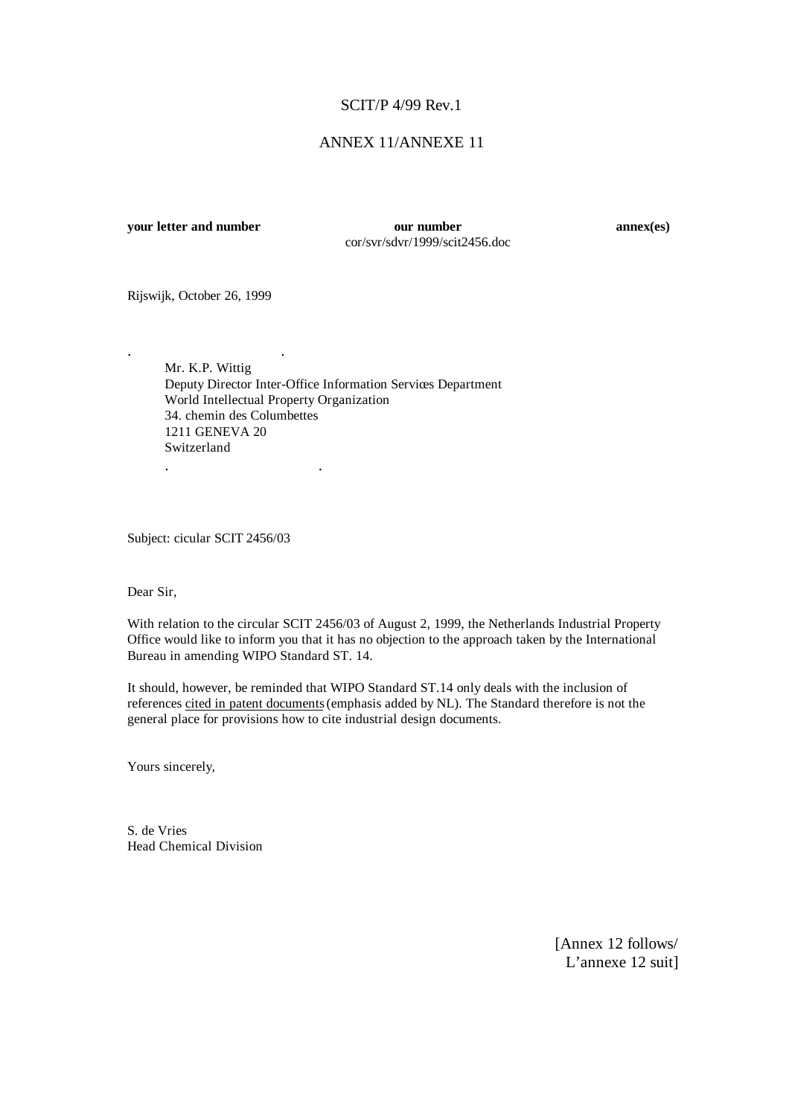# ANNEX 11/ANNEXE 11

**your letter and number our number annex(es)** cor/svr/sdvr/1999/scit2456.doc

Rijswijk, October 26, 1999

. .

Mr. K.P. Wittig Deputy Director Inter-Office Information Services Department World Intellectual Property Organization 34. chemin des Columbettes 1211 GENEVA 20 Switzerland . .

Subject: cicular SCIT 2456/03

Dear Sir,

With relation to the circular SCIT 2456/03 of August 2, 1999, the Netherlands Industrial Property Office would like to inform you that it has no objection to the approach taken by the International Bureau in amending WIPO Standard ST. 14.

It should, however, be reminded that WIPO Standard ST.14 only deals with the inclusion of references cited in patent documents (emphasis added by NL). The Standard therefore is not the general place for provisions how to cite industrial design documents.

Yours sincerely,

S. de Vries Head Chemical Division

> [Annex 12 follows/ L'annexe 12 suit]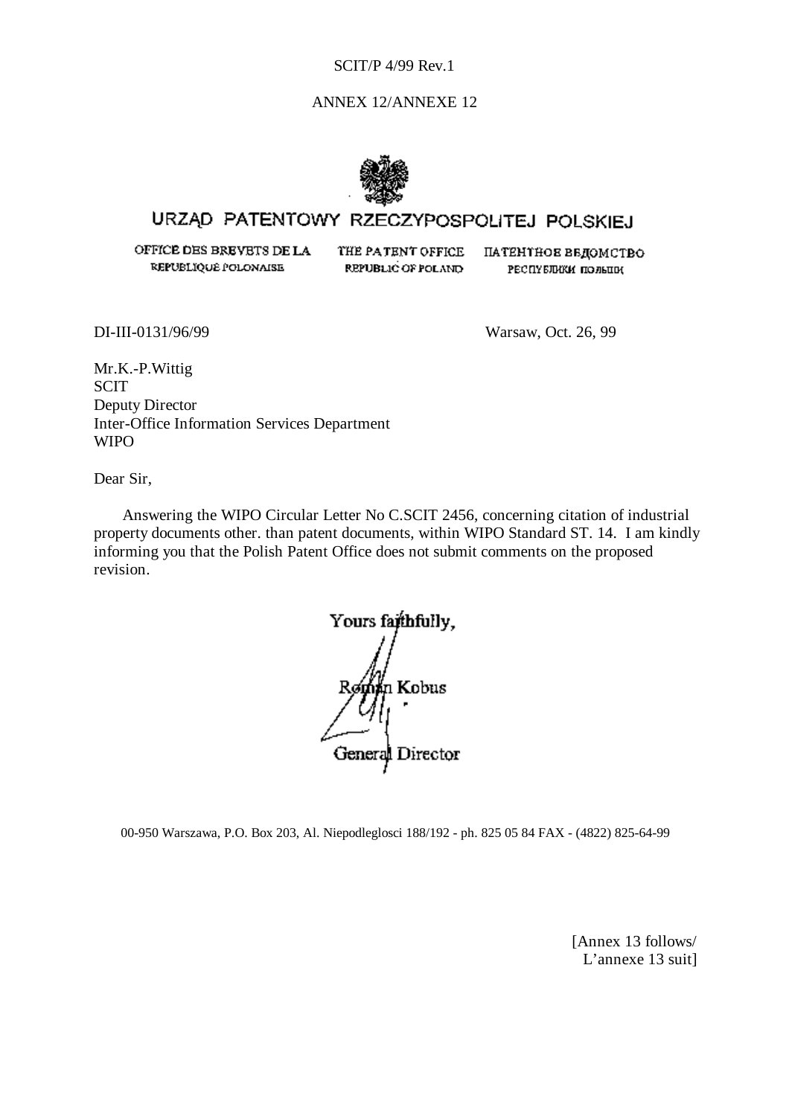# ANNEX 12/ANNEXE 12



# URZĄD PATENTOWY RZECZYPOSPOLITEJ POLSKIEJ

OFFICE DES BREVETS DE LA REPUBLIQUE POLONAISE

THE PATENT OFFICE REPUBLIC OF POLAND

ПАТЕНТНОЕ ВЕДОМСТВО РЕСПУБЛИКИ ПОЛЬЦИ

DI-III-0131/96/99 Warsaw, Oct. 26, 99

Mr.K.-P.Wittig **SCIT** Deputy Director Inter-Office Information Services Department WIPO

Dear Sir,

Answering the WIPO Circular Letter No C.SCIT 2456, concerning citation of industrial property documents other. than patent documents, within WIPO Standard ST. 14. I am kindly informing you that the Polish Patent Office does not submit comments on the proposed revision.

Yours faithfully. Román Kobus General Director

00-950 Warszawa, P.O. Box 203, Al. Niepodleglosci 188/192 - ph. 825 05 84 FAX - (4822) 825-64-99

[Annex 13 follows/ L'annexe 13 suit]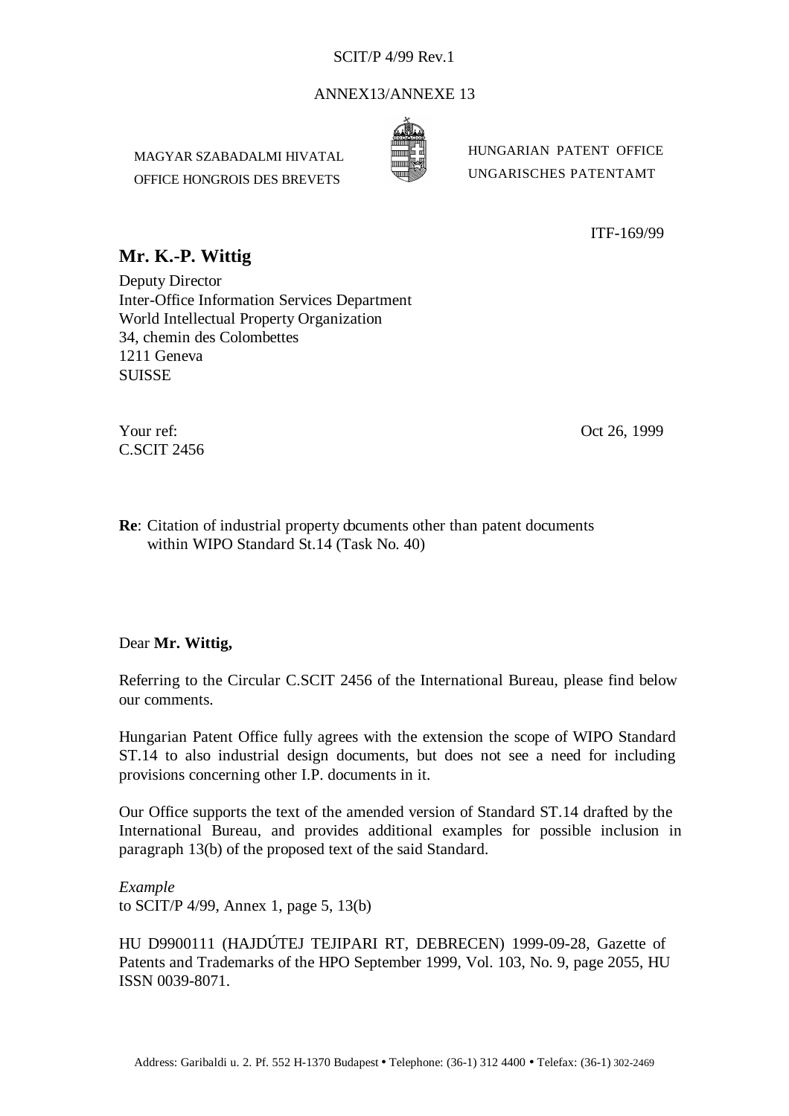# ANNEX13/ANNEXE 13

MAGYAR SZABADALMI HIVATAL OFFICE HONGROIS DES BREVETS



HUNGARIAN PATENT OFFICE UNGARISCHES PATENTAMT

ITF-169/99

# **Mr. K.-P. Wittig**

Deputy Director Inter-Office Information Services Department World Intellectual Property Organization 34, chemin des Colombettes 1211 Geneva **SUISSE** 

Your ref: Oct 26, 1999 C.SCIT 2456

**Re**: Citation of industrial property documents other than patent documents within WIPO Standard St.14 (Task No. 40)

# Dear **Mr. Wittig,**

Referring to the Circular C.SCIT 2456 of the International Bureau, please find below our comments.

Hungarian Patent Office fully agrees with the extension the scope of WIPO Standard ST.14 to also industrial design documents, but does not see a need for including provisions concerning other I.P. documents in it.

Our Office supports the text of the amended version of Standard ST.14 drafted by the International Bureau, and provides additional examples for possible inclusion in paragraph 13(b) of the proposed text of the said Standard.

*Example* to SCIT/P 4/99, Annex 1, page 5, 13(b)

HU D9900111 (HAJDÚTEJ TEJIPARI RT, DEBRECEN) 1999-09-28, Gazette of Patents and Trademarks of the HPO September 1999, Vol. 103, No. 9, page 2055, HU ISSN 0039-8071.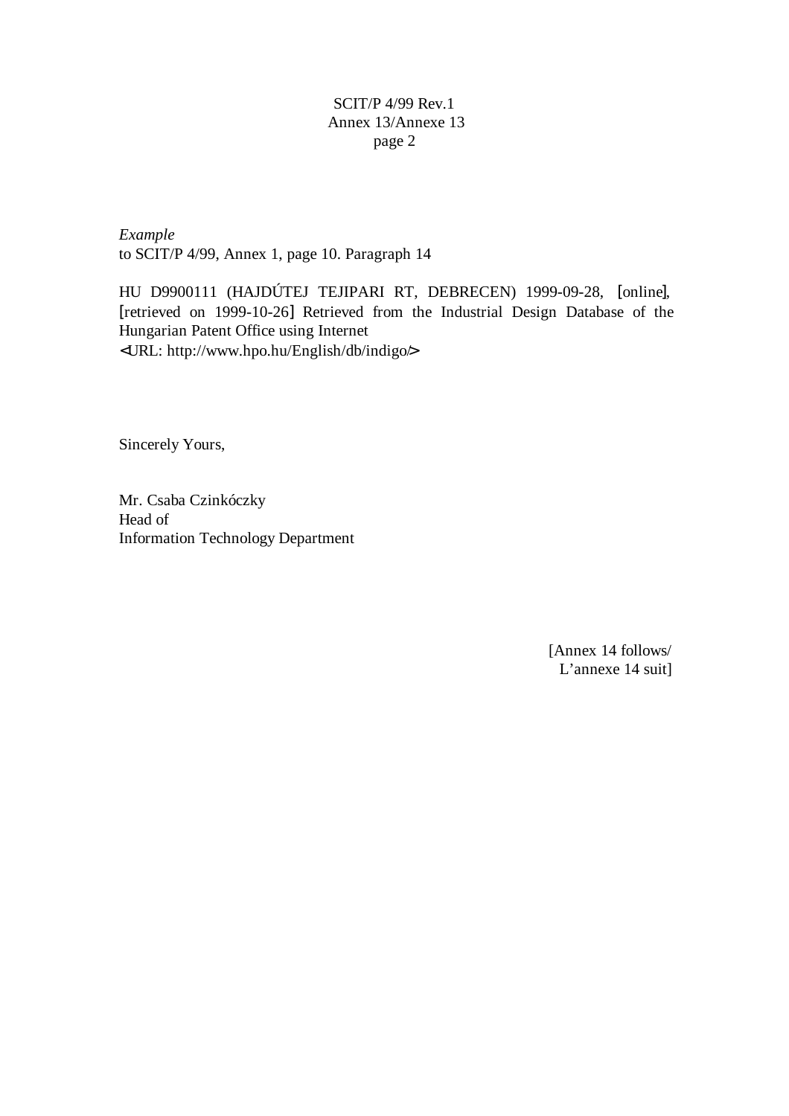*Example* to SCIT/P 4/99, Annex 1, page 10. Paragraph 14

HU D9900111 (HAJDÚTEJ TEJIPARI RT, DEBRECEN) 1999-09-28, [online], [retrieved on 1999-10-26] Retrieved from the Industrial Design Database of the Hungarian Patent Office using Internet <URL: http://www.hpo.hu/English/db/indigo/>

Sincerely Yours,

Mr. Csaba Czinkóczky Head of Information Technology Department

> [Annex 14 follows/ L'annexe 14 suit]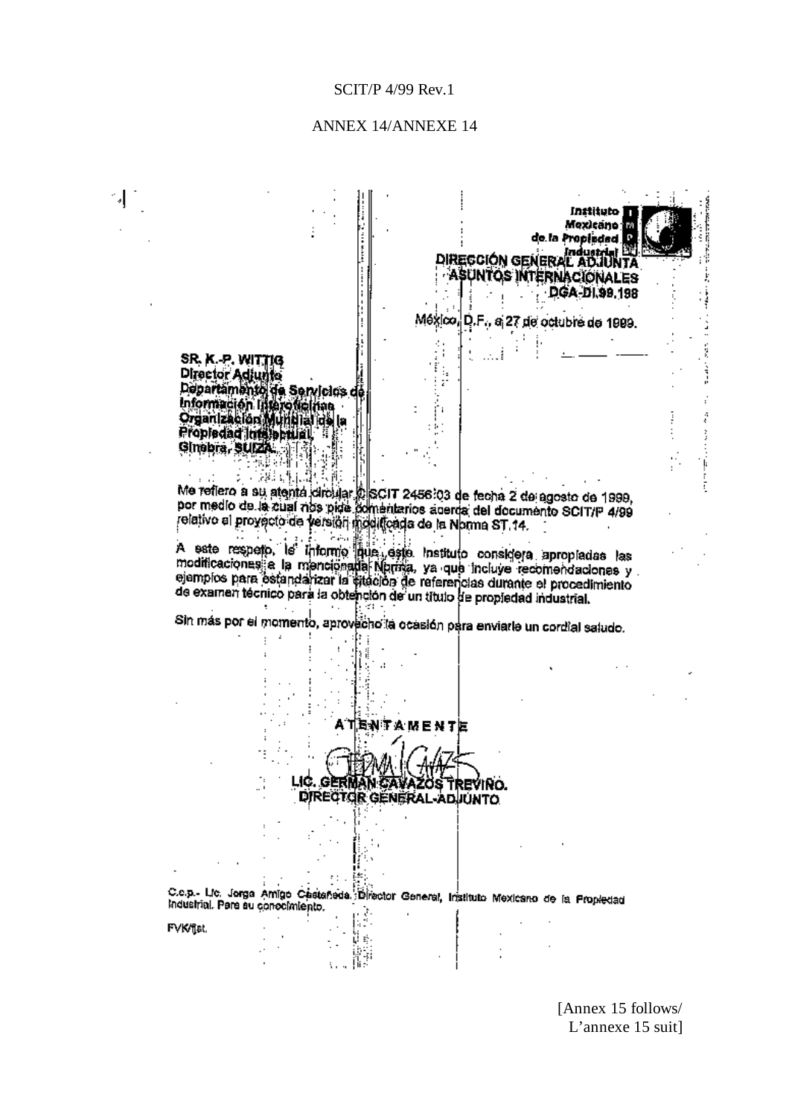# ANNEX 14/ANNEXE 14

 $\mathcal{A}_{\mathcal{A}}^{\mathcal{A}}$ 

 $\frac{1}{2}$ 

|                  |                                                             |             |                          |                                                                           | instituto i<br>Mexicano <b>III</b>                                                                                                           |  |
|------------------|-------------------------------------------------------------|-------------|--------------------------|---------------------------------------------------------------------------|----------------------------------------------------------------------------------------------------------------------------------------------|--|
|                  |                                                             |             |                          |                                                                           | de la Propiedad U                                                                                                                            |  |
|                  |                                                             |             |                          |                                                                           | industrial EL<br>DIRECCIÓN GENERAL ADJUNTA                                                                                                   |  |
|                  |                                                             |             |                          |                                                                           | ASUNTOS INTERNACIONALES<br>DGA-DI.99.198                                                                                                     |  |
|                  |                                                             |             |                          |                                                                           |                                                                                                                                              |  |
|                  |                                                             |             |                          |                                                                           | México, D.F., a 27 de octubre de 1999.                                                                                                       |  |
| SR. K. P. WITTIG |                                                             |             |                          |                                                                           |                                                                                                                                              |  |
| Director Adjunto |                                                             |             |                          |                                                                           |                                                                                                                                              |  |
|                  | Departamento de Servicios de<br>Información lijsero fielnas |             |                          |                                                                           |                                                                                                                                              |  |
|                  | Organizacion Multipla ina la<br>Propiedad Indiappulal,      |             |                          |                                                                           |                                                                                                                                              |  |
| Ginebra, SUIZA.  |                                                             |             |                          |                                                                           |                                                                                                                                              |  |
|                  | - 2833                                                      |             |                          |                                                                           |                                                                                                                                              |  |
|                  |                                                             |             |                          |                                                                           | Me reflero a su atenta circular p SCIT 2456.03 de fecha 2 de agosto de 1999.                                                                 |  |
|                  |                                                             |             |                          |                                                                           | por medio de la zual rios pida ĉomentarios acerda del documento SCIT/P 4/99<br>relativo al provecto de version modificada de la Norma ST 14. |  |
|                  |                                                             |             |                          |                                                                           |                                                                                                                                              |  |
|                  |                                                             |             |                          |                                                                           | A este respeto, le informo pue geste instituto considera apropiadas las                                                                      |  |
|                  |                                                             |             |                          |                                                                           |                                                                                                                                              |  |
|                  |                                                             |             |                          |                                                                           | modificaciones a la mencionalia Nprinza, ya que incluye recomendaciones y                                                                    |  |
|                  |                                                             |             |                          |                                                                           | ejemplos para estandarizar la sitación de referencias durante el procedimiento                                                               |  |
|                  |                                                             |             |                          | de examen técnico para la obtención de un título de propiedad industrial. |                                                                                                                                              |  |
|                  |                                                             |             |                          |                                                                           | Sin más por el momento, aprovecho la ocasión para enviarle un cordial saludo.                                                                |  |
|                  |                                                             |             |                          |                                                                           |                                                                                                                                              |  |
|                  |                                                             |             |                          |                                                                           |                                                                                                                                              |  |
|                  |                                                             |             |                          |                                                                           |                                                                                                                                              |  |
|                  |                                                             |             | A TENTA MENTE            |                                                                           |                                                                                                                                              |  |
|                  |                                                             |             |                          |                                                                           |                                                                                                                                              |  |
|                  |                                                             |             |                          |                                                                           |                                                                                                                                              |  |
|                  |                                                             | LIC. GERMAI | DIRECTOR GENERAL ADJUNTO | REVINO.                                                                   |                                                                                                                                              |  |
|                  |                                                             |             |                          |                                                                           |                                                                                                                                              |  |
|                  |                                                             |             |                          |                                                                           |                                                                                                                                              |  |
|                  |                                                             |             |                          |                                                                           |                                                                                                                                              |  |
|                  |                                                             |             |                          |                                                                           |                                                                                                                                              |  |
|                  | industrial. Pere su conocimiento.                           |             |                          |                                                                           | C.e.p.- Lic. Jorga Amigo Cestarieda Director General, Instituto Mexicano de la Propiedad                                                     |  |
| FVK/fisi.        |                                                             |             |                          |                                                                           |                                                                                                                                              |  |

[Annex 15 follows/ L'annexe 15 suit]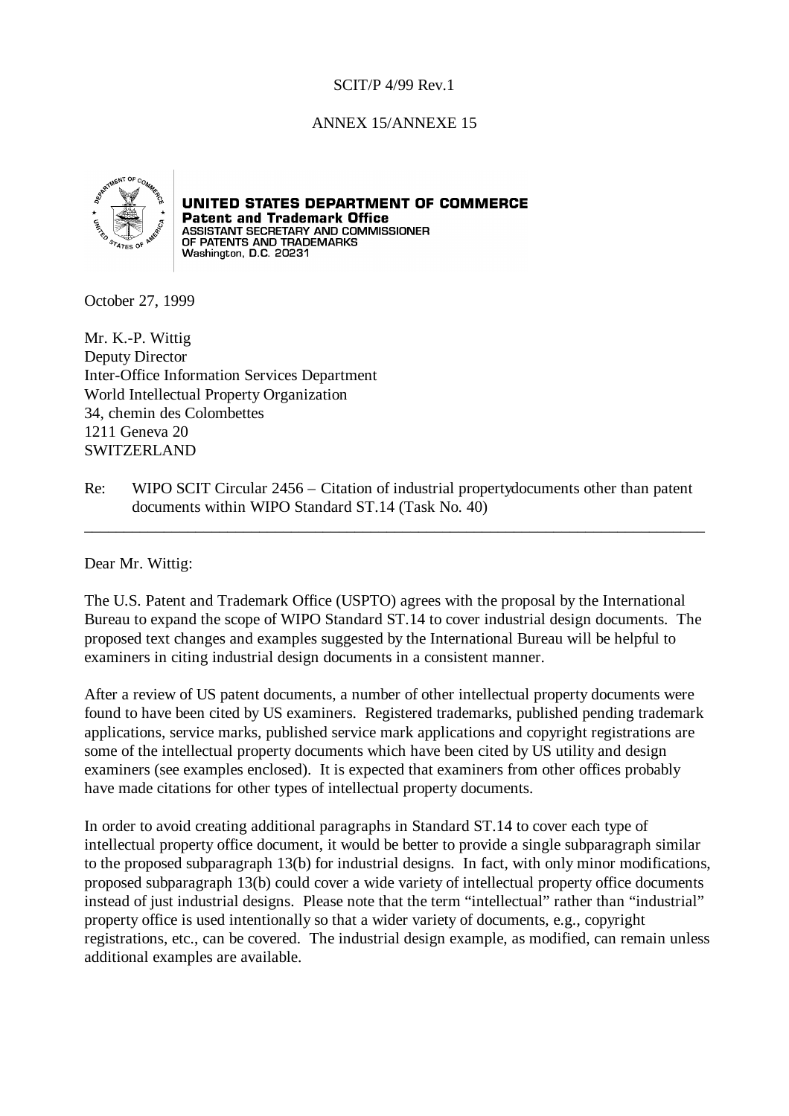# ANNEX 15/ANNEXE 15



# UNITED STATES DEPARTMENT OF COMMERCE

**Patent and Trademark Office**<br>ASSISTANT SECRETARY AND COMMISSIONER<br>OF PATENTS AND TRADEMARKS<br>Washington, D.C. 20231

October 27, 1999

Mr. K.-P. Wittig Deputy Director Inter-Office Information Services Department World Intellectual Property Organization 34, chemin des Colombettes 1211 Geneva 20 SWITZERLAND

Re: WIPO SCIT Circular 2456 – Citation of industrial property documents other than patent documents within WIPO Standard ST.14 (Task No. 40)

\_\_\_\_\_\_\_\_\_\_\_\_\_\_\_\_\_\_\_\_\_\_\_\_\_\_\_\_\_\_\_\_\_\_\_\_\_\_\_\_\_\_\_\_\_\_\_\_\_\_\_\_\_\_\_\_\_\_\_\_\_\_\_\_\_\_\_\_\_\_\_\_\_\_\_\_\_\_

Dear Mr. Wittig:

The U.S. Patent and Trademark Office (USPTO) agrees with the proposal by the International Bureau to expand the scope of WIPO Standard ST.14 to cover industrial design documents. The proposed text changes and examples suggested by the International Bureau will be helpful to examiners in citing industrial design documents in a consistent manner.

After a review of US patent documents, a number of other intellectual property documents were found to have been cited by US examiners. Registered trademarks, published pending trademark applications, service marks, published service mark applications and copyright registrations are some of the intellectual property documents which have been cited by US utility and design examiners (see examples enclosed). It is expected that examiners from other offices probably have made citations for other types of intellectual property documents.

In order to avoid creating additional paragraphs in Standard ST.14 to cover each type of intellectual property office document, it would be better to provide a single subparagraph similar to the proposed subparagraph 13(b) for industrial designs. In fact, with only minor modifications, proposed subparagraph 13(b) could cover a wide variety of intellectual property office documents instead of just industrial designs. Please note that the term "intellectual" rather than "industrial" property office is used intentionally so that a wider variety of documents, e.g., copyright registrations, etc., can be covered. The industrial design example, as modified, can remain unless additional examples are available.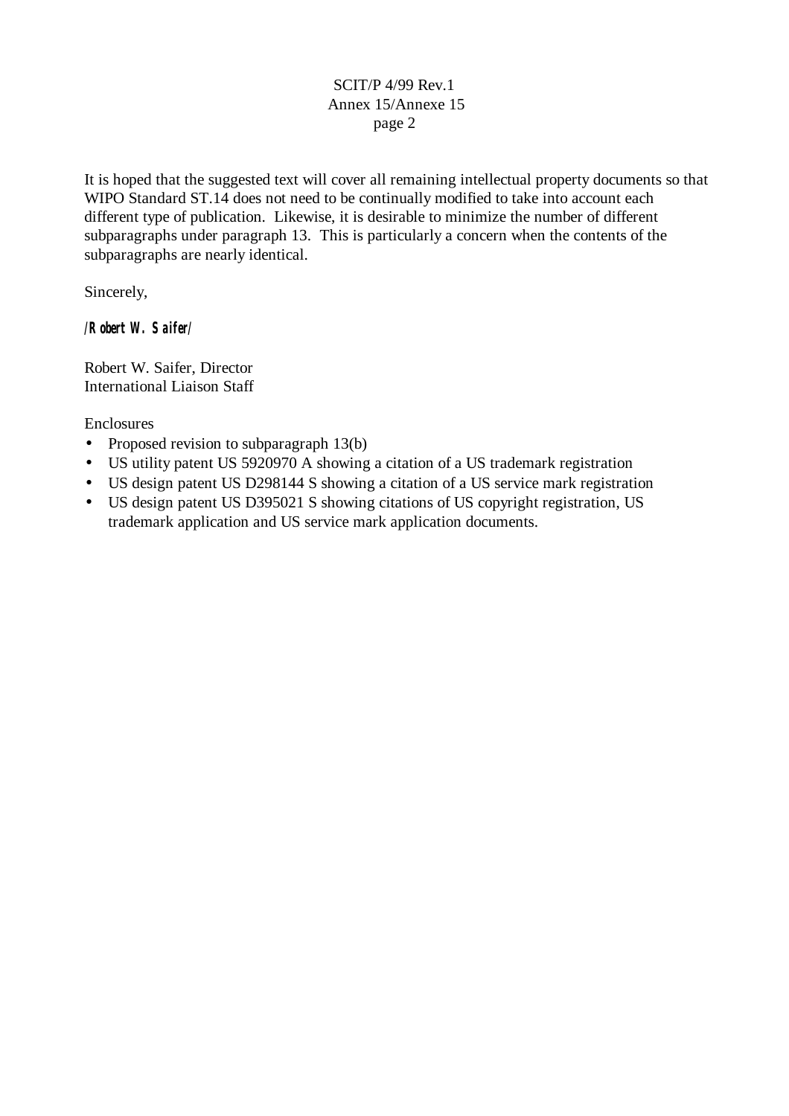It is hoped that the suggested text will cover all remaining intellectual property documents so that WIPO Standard ST.14 does not need to be continually modified to take into account each different type of publication. Likewise, it is desirable to minimize the number of different subparagraphs under paragraph 13. This is particularly a concern when the contents of the subparagraphs are nearly identical.

Sincerely,

*/Robert W. Saifer/*

Robert W. Saifer, Director International Liaison Staff

Enclosures

- Proposed revision to subparagraph 13(b)
- US utility patent US 5920970 A showing a citation of a US trademark registration
- US design patent US D298144 S showing a citation of a US service mark registration
- US design patent US D395021 S showing citations of US copyright registration, US trademark application and US service mark application documents.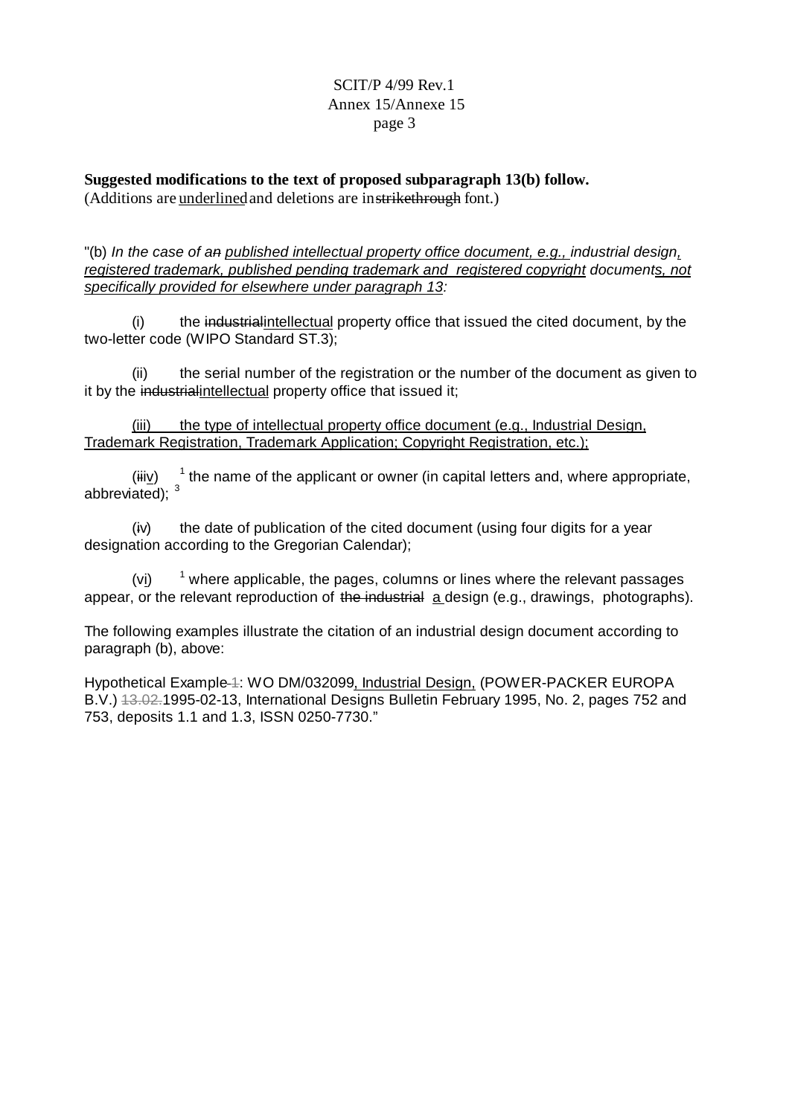**Suggested modifications to the text of proposed subparagraph 13(b) follow.** (Additions are underlined and deletions are in strikethrough font.)

"(b) *In the case of an published intellectual property office document, e.g., industrial design, registered trademark, published pending trademark and registered copyright documents, not specifically provided for elsewhere under paragraph 13:*

(i) the industrialintellectual property office that issued the cited document, by the two-letter code (WIPO Standard ST.3);

(ii) the serial number of the registration or the number of the document as given to it by the industrialintellectual property office that issued it:

(iii) the type of intellectual property office document (e.g., Industrial Design, Trademark Registration, Trademark Application; Copyright Registration, etc.);

(iiiv) <sup>1</sup>  $1$  the name of the applicant or owner (in capital letters and, where appropriate, abbreviated): <sup>3</sup>

(iv) the date of publication of the cited document (using four digits for a year designation according to the Gregorian Calendar);

 $(vi)$  $1$  where applicable, the pages, columns or lines where the relevant passages appear, or the relevant reproduction of the industrial a design (e.g., drawings, photographs).

The following examples illustrate the citation of an industrial design document according to paragraph (b), above:

Hypothetical Example 4: WO DM/032099, Industrial Design, (POWER-PACKER EUROPA B.V.) 43.02.1995-02-13, International Designs Bulletin February 1995, No. 2, pages 752 and 753, deposits 1.1 and 1.3, ISSN 0250-7730."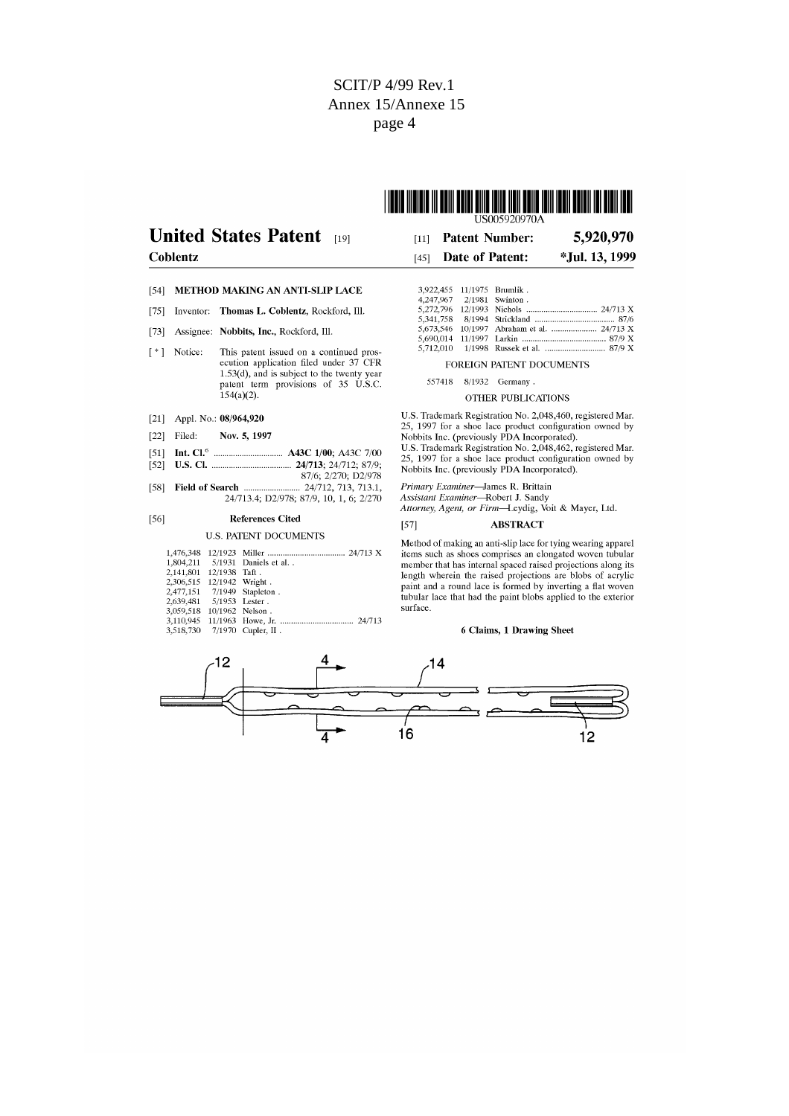

# **Hnited States Patent**

### $\overline{C}$

| <b>nited States Patent</b> [19] | $[11]$ Patent Number:  | 5,920,970      |
|---------------------------------|------------------------|----------------|
| oblentz                         | $[45]$ Date of Patent: | *Jul. 13, 1999 |

### [54] METHOD MAKING AN ANTI-SLIP LACE

- [75] Inventor: Thomas L. Coblentz, Rockford, Ill.
- [73] Assignee: Nobbits, Inc., Rockford, Ill.
- This patent issued on a continued prosecution application filed under 37 CFR [\*] Notice: 1.53(d), and is subject to the twenty year<br>patent term provisions of 35 U.S.C.  $154(a)(2)$ .
- [21] Appl. No.:  $08/964,920$
- $[22]$  Filed: Nov. 5, 1997
- 
- 
- 87/6; 2/270; D2/978  $[58]$ Field of Search .... 24/712, 713, 713.1, 24/713.4; D2/978; 87/9, 10, 1, 6; 2/270

#### $[56]$ **References Cited**

### **U.S. PATENT DOCUMENTS**

|                           |               | 1,804,211   5/1931   Daniels et al. . |
|---------------------------|---------------|---------------------------------------|
| 2.141.801                 | 12/1938 Taft. |                                       |
| 2,306,515 12/1942 Wright. |               |                                       |
|                           |               | 2,477,151 7/1949 Stapleton.           |
| 2,639,481  5/1953 Lester. |               |                                       |
| 3,059,518 10/1962 Nelson. |               |                                       |
| 3.110.945                 |               |                                       |
|                           |               | 3,518,730 7/1970 Cupler, II.          |

#### 3,922,455 11/1975 Brumlik.<br>4,247,967 2/1981 Swinton. Swinton. 5,272,796 12/1993<br>5,341,758 8/1994 Nichols. 24/713 X Strickland  $87/6$ 5.712.010

FOREIGN PATENT DOCUMENTS

557418 8/1932 Germany.

### OTHER PUBLICATIONS

U.S. Trademark Registration No. 2,048,460, registered Mar. 0.3. Hademark Registration No. 2,046,400, registered Mai.<br>25, 1997 for a shoe lace product configuration owned by<br>Nobbits Inc. (previously PDA Incorporated).

U.S. Trademark Registration No. 2.048.462, registered Mar. 25, 1997 for a shoe lace product configuration owned by Nobbits Inc. (previously PDA Incorporated).

Primary Examiner-James R. Brittain

*A rimary Examiner—*Bancs K. Britian<br>Assistant Examiner—Robert J. Sandy<br>Attorney, Agent, or Firm—Leydig, Voit & Mayer, Ltd.

#### $[57]$ **ABSTRACT**

Method of making an anti-slip lace for tying wearing apparel items such as shoes comprises an elongated woven tubular member that has internal spaced raised projections along its length wherein the raised projections are blobs of acrylic<br>paint and a round lace is formed by inverting a flat woven tubular lace that had the paint blobs applied to the exterior surface.

## 6 Claims, 1 Drawing Sheet

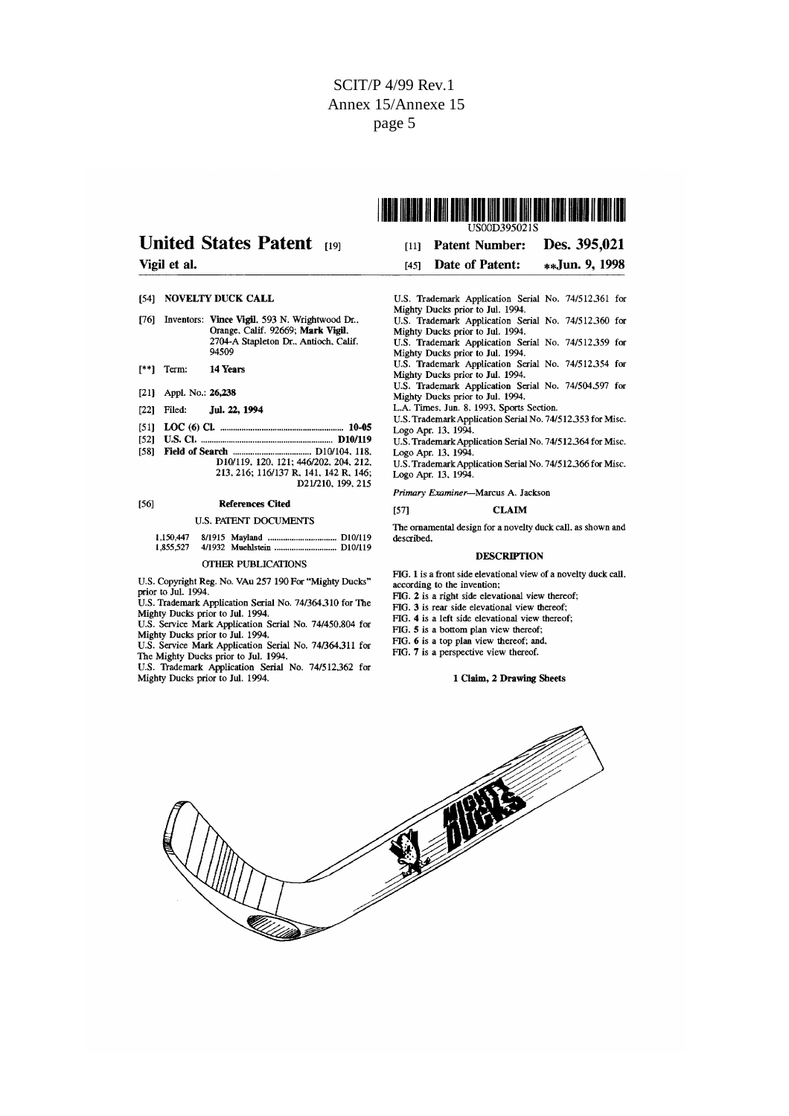# **United States Patent 1191**

## Vigil et al.

- [54] NOVELTY DUCK CALL
- [76] Inventors: Vince Vigil, 593 N. Wrightwood Dr., Orange, Calif. 92669; Mark Vigil. 2704-A Stapleton Dr., Antioch, Calif. 94509
- $[$ \*\*] Term: 14 Years
- [21] Appl. No.: 26,238
- $[22]$  Filed: Jul. 22, 1994
- 
- [52] U.S. Cl. .......
- D10/119, 120, 121; 446/202, 204, 212, 213, 216; 116/137 R, 141, 142 R, 146; D21/210, 199, 215

#### $[56]$ **References Cited**

### **U.S. PATENT DOCUMENTS**

## **OTHER PUBLICATIONS**

U.S. Copyright Reg. No. VAu 257 190 For "Mighty Ducks" prior to Jul. 1994.

U.S. Trademark Application Serial No. 74/364,310 for The Mighty Ducks prior to Jul. 1994.

U.S. Service Mark Application Serial No. 74/450,804 for

Mighty Ducks prior to Jul. 1994.<br>U.S. Service Mark Application Serial No. 74/364,311 for The Mighty Ducks prior to Jul. 1994.

U.S. Trademark Application Serial No. 74/512,362 for Mighty Ducks prior to Jul. 1994.

| US00D395021S |                             |                |  |  |
|--------------|-----------------------------|----------------|--|--|
| [11]         | Patent Number: Des. 395,021 |                |  |  |
| <b>1451</b>  | Date of Patent:             | **Jun. 9, 1998 |  |  |

I ISBIO INDIDIA IN BRIN DENIE IODO INIO IBIDI DINI BAIK INDI NAIDIO II DIDI IOD

- U.S. Trademark Application Serial No. 74/512,361 for Mighty Ducks prior to Jul. 1994. U.S. Trademark Application Serial No. 74/512.360 for Mighty Ducks prior to Jul. 1994. U.S. Trademark Application Serial No. 74/512.359 for Mighty Ducks prior to Jul. 1994. U.S. Trademark Application Serial No. 74/512.354 for<br>Mighty Ducks prior to Jul. 1994. U.S. Trademark Application Serial No. 74/504.597 for U.S. Haddhalk Application Schar No.<br>Mighty Ducks prior to Jul. 1994.<br>L.A. Times, Jun. 8, 1993, Sports Section. U.S. Trademark Application Serial No. 74/512,353 for Misc. Logo Apr. 13, 1994. U.S. Trademark Application Serial No. 74/512.364 for Misc.
- Logo Apr. 13, 1994.
- U.S. Trademark Application Serial No. 74/512.366 for Misc.<br>Logo Apr. 13, 1994.

Primary Examiner-Marcus A. Jackson

[57]

**CLAIM** The ornamental design for a novelty duck call, as shown and described

#### **DESCRIPTION**

FIG. 1 is a front side elevational view of a novelty duck call, according to the invention;

FIG. 2 is a right side elevational view thereof;

FIG. 3 is rear side elevational view thereof;

FIG. 4 is a left side elevational view thereof;

FIG. 5 is a bottom plan view thereof;

FIG. 6 is a top plan view thereof; and,

FIG. 7 is a perspective view thereof.

### 1 Claim, 2 Drawing Sheets

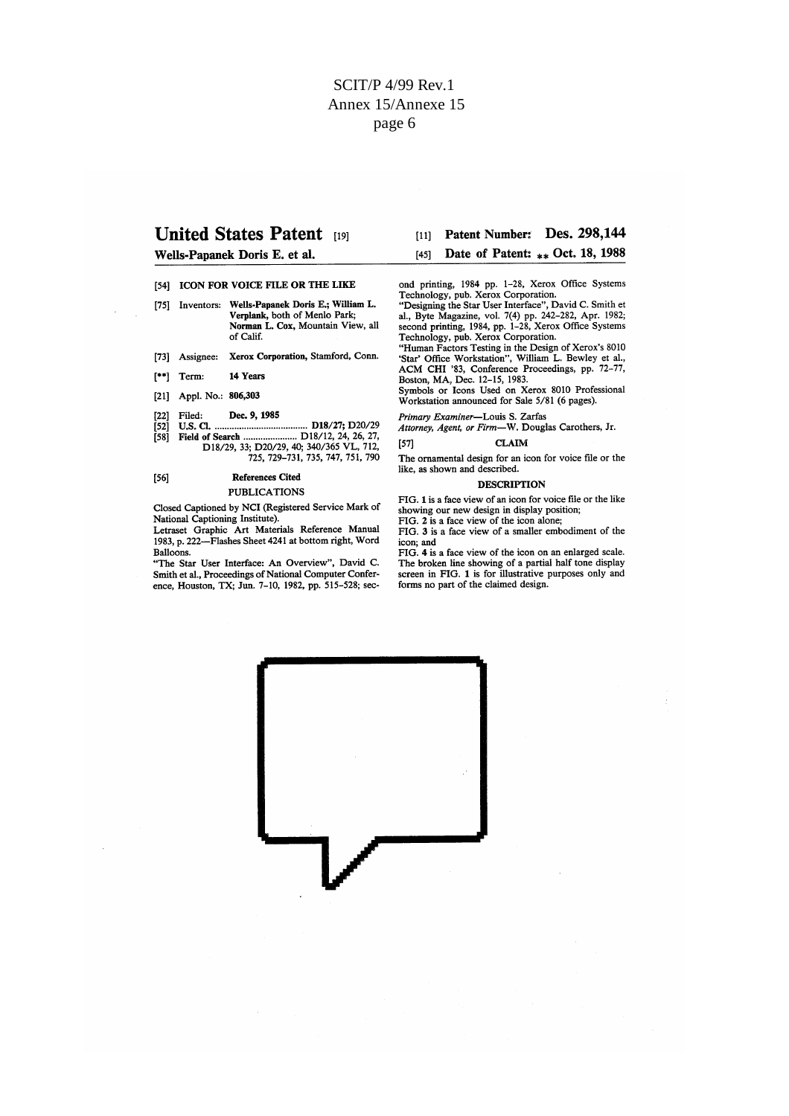## **United States Patent 1191**

Wells-Papanek Doris E. et al.

- [54] ICON FOR VOICE FILE OR THE LIKE
- [75] Inventors: Wells-Papanek Doris E.; William L. Verplank, both of Menlo Park;<br>Norman L. Cox, Mountain View, all of Calif.
- [73] Assignee: Xerox Corporation, Stamford, Conn.
- 14 Years  $[$ \*\*] Term:
- [21] Appl. No.: 806,303
- Dec. 9, 1985 Filed:  $[22]$
- <u>2008 7, 2008</u><br>18/**27**; D20/29 **U.S. CL.**
- $\begin{bmatrix} 52 \\ 158 \end{bmatrix}$

#### $[56]$ **References Cited PUBLICATIONS**

Closed Captioned by NCI (Registered Service Mark of National Captioning Institute).

Letraset Graphic Art Materials Reference Manual 1983, p. 222—Flashes Sheet 4241 at bottom right, Word Balloons.

"The Star User Interface: An Overview", David C. Smith et al., Proceedings of National Computer Conference, Houston, TX; Jun. 7-10, 1982, pp. 515-528; sec[11] Patent Number: Des. 298,144 Date of Patent: \*\* Oct. 18, 1988  $[45]$ 

ond printing, 1984 pp. 1-28, Xerox Office Systems Technology, pub. Xerox Corporation.

Technology, pub. Xerox Corporation.<br>
"Designing the Star User Interface", David C. Smith et<br>
al., Byte Magazine, vol. 7(4) pp. 242–282, Apr. 1982;<br>
second printing, 1984, pp. 1–28, Xerox Office Systems<br>
Technology, pub. Xe

ACM CHI '83, Conference Proceedings, pp. 72-77, Boston, MA, Dec. 12-15, 1983.

Symbols or Icons Used on Xerox 8010 Professional Workstation announced for Sale 5/81 (6 pages).

Primary Examiner-Louis S. Zarfas

Attorney, Agent, or Firm-W. Douglas Carothers, Jr.

 $[57]$ **CLAIM** 

The ornamental design for an icon for voice file or the like, as shown and described.

#### **DESCRIPTION**

FIG. 1 is a face view of an icon for voice file or the like showing our new design in display position;

FIG. 2 is a face view of the icon alone;

FIG. 3 is a face view of a smaller embodiment of the icon; and

FIG. 4 is a face view of the icon on an enlarged scale. The broken line showing of a partial half tone display screen in FIG. 1 is for illustrative purposes only and forms no part of the claimed design.

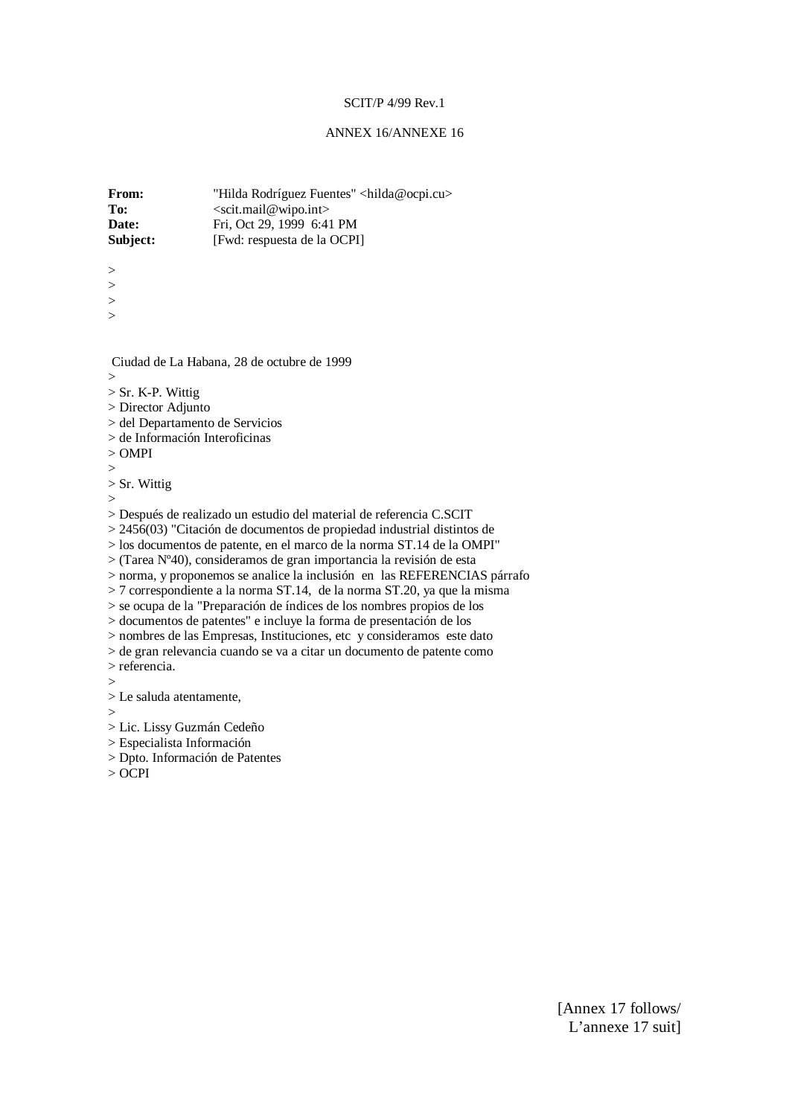## ANNEX 16/ANNEXE 16

**From:** "Hilda Rodríguez Fuentes" <hilda@ocpi.cu> To: <scit.mail@wipo.int> **Date:** Fri, Oct 29, 1999 6:41 PM<br> **Subject:** [Fwd: respuesta de la OCPI [Fwd: respuesta de la OCPI]

- > >
- >
- >

Ciudad de La Habana, 28 de octubre de 1999

- $\overline{\phantom{a}}$
- > Sr. K-P. Wittig
- > Director Adjunto
- > del Departamento de Servicios
- > de Información Interoficinas
- > OMPI
- >
- > Sr. Wittig
- >

> Después de realizado un estudio del material de referencia C.SCIT

 $> 2456(03)$  "Citación de documentos de propiedad industrial distintos de

> los documentos de patente, en el marco de la norma ST.14 de la OMPI"

> (Tarea Nº40), consideramos de gran importancia la revisión de esta

> norma, y proponemos se analice la inclusión en las REFERENCIAS párrafo

> 7 correspondiente a la norma ST.14, de la norma ST.20, ya que la misma

> se ocupa de la "Preparación de índices de los nombres propios de los

> documentos de patentes" e incluye la forma de presentación de los

> nombres de las Empresas, Instituciones, etc y consideramos este dato

> de gran relevancia cuando se va a citar un documento de patente como > referencia.

>

> Le saluda atentamente,

 $\overline{\phantom{0}}$ 

> Lic. Lissy Guzmán Cedeño

> Especialista Información

> Dpto. Información de Patentes

> OCPI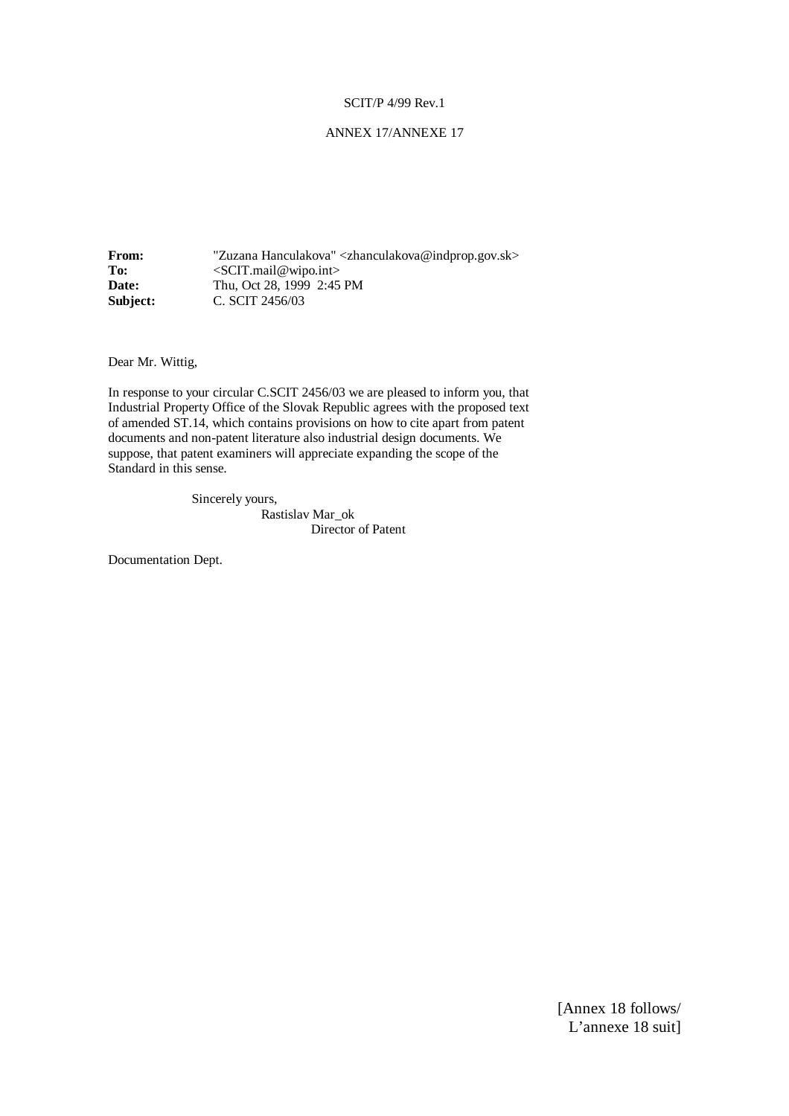## ANNEX 17/ANNEXE 17

**From:**  $"Zuzana Hanculakova"$ To: <SCIT.mail@wipo.int> **Date:** Thu, Oct 28, 1999 2:45 PM **Subject: C. SCIT 2456/03** 

Dear Mr. Wittig,

In response to your circular C.SCIT 2456/03 we are pleased to inform you, that Industrial Property Office of the Slovak Republic agrees with the proposed text of amended ST.14, which contains provisions on how to cite apart from patent documents and non-patent literature also industrial design documents. We suppose, that patent examiners will appreciate expanding the scope of the Standard in this sense.

Sincerely yours,

 Rastislav Mar\_ok Director of Patent

Documentation Dept.

[Annex 18 follows/ L'annexe 18 suit]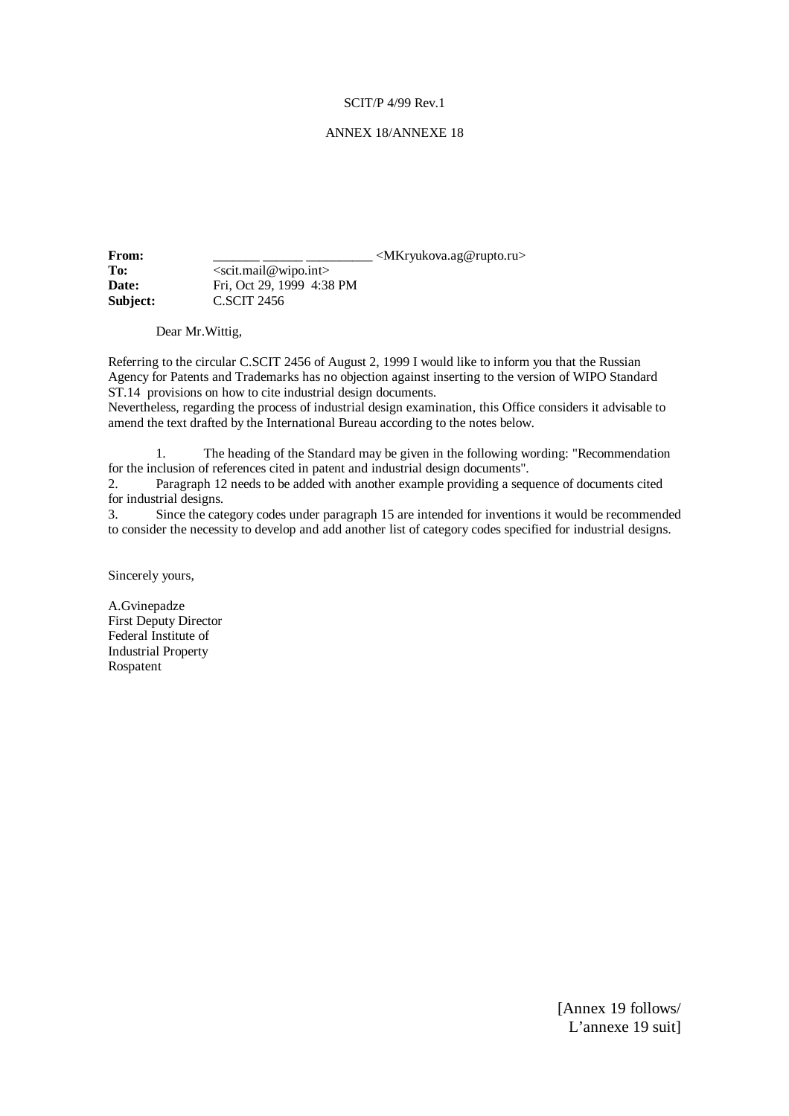## ANNEX 18/ANNEXE 18

**From:** \_\_\_\_\_\_\_\_\_\_\_\_\_\_\_\_\_\_\_\_\_\_\_\_\_\_\_\_\_\_\_\_<MKryukova.ag@rupto.ru> To: <scit.mail@wipo.int> **Date:** Fri, Oct 29, 1999 4:38 PM **Subject:** C.SCIT 2456

Dear Mr.Wittig,

Referring to the circular C.SCIT 2456 of August 2, 1999 I would like to inform you that the Russian Agency for Patents and Trademarks has no objection against inserting to the version of WIPO Standard ST.14 provisions on how to cite industrial design documents.

Nevertheless, regarding the process of industrial design examination, this Office considers it advisable to amend the text drafted by the International Bureau according to the notes below.

1. The heading of the Standard may be given in the following wording: "Recommendation for the inclusion of references cited in patent and industrial design documents".

2. Paragraph 12 needs to be added with another example providing a sequence of documents cited for industrial designs.

3. Since the category codes under paragraph 15 are intended for inventions it would be recommended to consider the necessity to develop and add another list of category codes specified for industrial designs.

Sincerely yours,

A.Gvinepadze First Deputy Director Federal Institute of Industrial Property Rospatent

> [Annex 19 follows/ L'annexe 19 suit]